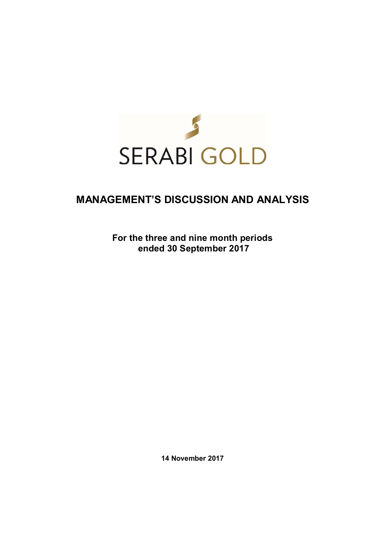

# **MANAGEMENT'S DISCUSSION AND ANALYSIS**

**For the three and nine month periods ended 30 September 2017** 

**14 November 2017**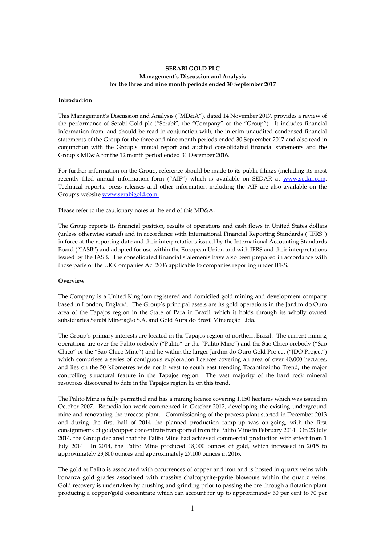## **SERABI GOLD PLC Management's Discussion and Analysis for the three and nine month periods ended 30 September 2017**

#### **Introduction**

This Management's Discussion and Analysis ("MD&A"), dated 14 November 2017, provides a review of the performance of Serabi Gold plc ("Serabi", the "Company" or the "Group"). It includes financial information from, and should be read in conjunction with, the interim unaudited condensed financial statements of the Group for the three and nine month periods ended 30 September 2017 and also read in conjunction with the Group's annual report and audited consolidated financial statements and the Group's MD&A for the 12 month period ended 31 December 2016.

For further information on the Group, reference should be made to its public filings (including its most recently filed annual information form ("AIF") which is available on SEDAR at www.sedar.com. Technical reports, press releases and other information including the AIF are also available on the Group's website www.serabigold.com.

Please refer to the cautionary notes at the end of this MD&A.

The Group reports its financial position, results of operations and cash flows in United States dollars (unless otherwise stated) and in accordance with International Financial Reporting Standards ("IFRS") in force at the reporting date and their interpretations issued by the International Accounting Standards Board ("IASB") and adopted for use within the European Union and with IFRS and their interpretations issued by the IASB. The consolidated financial statements have also been prepared in accordance with those parts of the UK Companies Act 2006 applicable to companies reporting under IFRS.

## **Overview**

The Company is a United Kingdom registered and domiciled gold mining and development company based in London, England. The Group's principal assets are its gold operations in the Jardim do Ouro area of the Tapajos region in the State of Para in Brazil, which it holds through its wholly owned subsidiaries Serabi Mineração S.A. and Gold Aura do Brasil Mineração Ltda.

The Group's primary interests are located in the Tapajos region of northern Brazil. The current mining operations are over the Palito orebody ("Palito" or the "Palito Mine") and the Sao Chico orebody ("Sao Chico" or the "Sao Chico Mine") and lie within the larger Jardim do Ouro Gold Project ("JDO Project") which comprises a series of contiguous exploration licences covering an area of over 40,000 hectares, and lies on the 50 kilometres wide north west to south east trending Tocantinzinho Trend, the major controlling structural feature in the Tapajos region. The vast majority of the hard rock mineral resources discovered to date in the Tapajos region lie on this trend.

The Palito Mine is fully permitted and has a mining licence covering 1,150 hectares which was issued in October 2007. Remediation work commenced in October 2012, developing the existing underground mine and renovating the process plant. Commissioning of the process plant started in December 2013 and during the first half of 2014 the planned production ramp-up was on-going, with the first consignments of gold/copper concentrate transported from the Palito Mine in February 2014. On 23 July 2014, the Group declared that the Palito Mine had achieved commercial production with effect from 1 July 2014. In 2014, the Palito Mine produced 18,000 ounces of gold, which increased in 2015 to approximately 29,800 ounces and approximately 27,100 ounces in 2016.

The gold at Palito is associated with occurrences of copper and iron and is hosted in quartz veins with bonanza gold grades associated with massive chalcopyrite-pyrite blowouts within the quartz veins. Gold recovery is undertaken by crushing and grinding prior to passing the ore through a flotation plant producing a copper/gold concentrate which can account for up to approximately 60 per cent to 70 per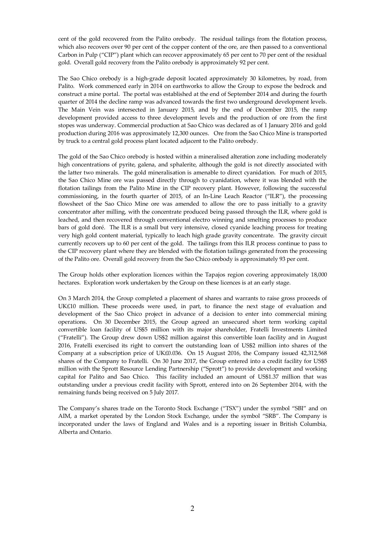cent of the gold recovered from the Palito orebody. The residual tailings from the flotation process, which also recovers over 90 per cent of the copper content of the ore, are then passed to a conventional Carbon in Pulp ("CIP") plant which can recover approximately 65 per cent to 70 per cent of the residual gold. Overall gold recovery from the Palito orebody is approximately 92 per cent.

The Sao Chico orebody is a high-grade deposit located approximately 30 kilometres, by road, from Palito. Work commenced early in 2014 on earthworks to allow the Group to expose the bedrock and construct a mine portal. The portal was established at the end of September 2014 and during the fourth quarter of 2014 the decline ramp was advanced towards the first two underground development levels. The Main Vein was intersected in January 2015, and by the end of December 2015, the ramp development provided access to three development levels and the production of ore from the first stopes was underway. Commercial production at Sao Chico was declared as of 1 January 2016 and gold production during 2016 was approximately 12,300 ounces. Ore from the Sao Chico Mine is transported by truck to a central gold process plant located adjacent to the Palito orebody.

The gold of the Sao Chico orebody is hosted within a mineralised alteration zone including moderately high concentrations of pyrite, galena, and sphalerite, although the gold is not directly associated with the latter two minerals. The gold mineralisation is amenable to direct cyanidation. For much of 2015, the Sao Chico Mine ore was passed directly through to cyanidation, where it was blended with the flotation tailings from the Palito Mine in the CIP recovery plant. However, following the successful commissioning, in the fourth quarter of 2015, of an In-Line Leach Reactor ("ILR"), the processing flowsheet of the Sao Chico Mine ore was amended to allow the ore to pass initially to a gravity concentrator after milling, with the concentrate produced being passed through the ILR, where gold is leached, and then recovered through conventional electro winning and smelting processes to produce bars of gold doré. The ILR is a small but very intensive, closed cyanide leaching process for treating very high gold content material, typically to leach high grade gravity concentrate. The gravity circuit currently recovers up to 60 per cent of the gold. The tailings from this ILR process continue to pass to the CIP recovery plant where they are blended with the flotation tailings generated from the processing of the Palito ore. Overall gold recovery from the Sao Chico orebody is approximately 93 per cent.

The Group holds other exploration licences within the Tapajos region covering approximately 18,000 hectares. Exploration work undertaken by the Group on these licences is at an early stage.

On 3 March 2014, the Group completed a placement of shares and warrants to raise gross proceeds of UK£10 million. These proceeds were used, in part, to finance the next stage of evaluation and development of the Sao Chico project in advance of a decision to enter into commercial mining operations. On 30 December 2015, the Group agreed an unsecured short term working capital convertible loan facility of US\$5 million with its major shareholder, Fratelli Investments Limited ("Fratelli"). The Group drew down US\$2 million against this convertible loan facility and in August 2016, Fratelli exercised its right to convert the outstanding loan of US\$2 million into shares of the Company at a subscription price of UK£0.036. On 15 August 2016, the Company issued 42,312,568 shares of the Company to Fratelli. On 30 June 2017, the Group entered into a credit facility for US\$5 million with the Sprott Resource Lending Partnership ("Sprott") to provide development and working capital for Palito and Sao Chico. This facility included an amount of US\$1.37 million that was outstanding under a previous credit facility with Sprott, entered into on 26 September 2014, with the remaining funds being received on 5 July 2017.

The Company's shares trade on the Toronto Stock Exchange ("TSX") under the symbol "SBI" and on AIM, a market operated by the London Stock Exchange, under the symbol "SRB". The Company is incorporated under the laws of England and Wales and is a reporting issuer in British Columbia, Alberta and Ontario.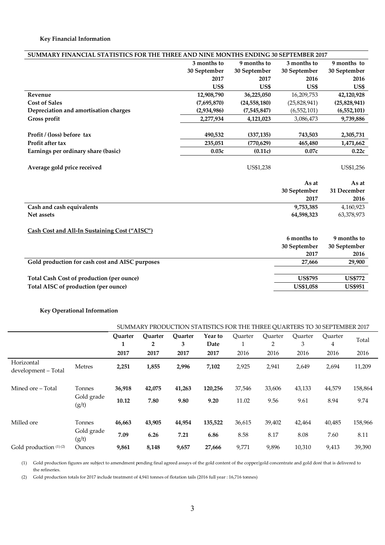| SUMMARY FINANCIAL STATISTICS FOR THE THREE AND NINE MONTHS ENDING 30 SEPTEMBER 2017 |              |                |                  |                |  |  |
|-------------------------------------------------------------------------------------|--------------|----------------|------------------|----------------|--|--|
|                                                                                     | 3 months to  | 9 months to    | 3 months to      | 9 months to    |  |  |
|                                                                                     | 30 September | 30 September   | 30 September     | 30 September   |  |  |
|                                                                                     | 2017         | 2017           | 2016             | 2016           |  |  |
|                                                                                     | US\$         | US\$           | US\$             | US\$           |  |  |
| Revenue                                                                             | 12,908,790   | 36,225,050     | 16,209,753       | 42,120,928     |  |  |
| <b>Cost of Sales</b>                                                                | (7,695,870)  | (24, 558, 180) | (25,828,941)     | (25,828,941)   |  |  |
| Depreciation and amortisation charges                                               | (2,934,986)  | (7,545,847)    | (6, 552, 101)    | (6,552,101)    |  |  |
| Gross profit                                                                        | 2,277,934    | 4,121,023      | 3,086,473        | 9,739,886      |  |  |
|                                                                                     |              |                |                  |                |  |  |
| Profit / (loss) before tax                                                          | 490,532      | (337, 135)     | 743,503          | 2,305,731      |  |  |
| Profit after tax                                                                    | 235,051      | (770, 629)     | 465,480          | 1,471,662      |  |  |
| Earnings per ordinary share (basic)                                                 | 0.03c        | (0.11c)        | 0.07c            | 0.22c          |  |  |
|                                                                                     |              |                |                  |                |  |  |
| Average gold price received                                                         |              | US\$1,238      |                  | US\$1,256      |  |  |
|                                                                                     |              |                |                  |                |  |  |
|                                                                                     |              |                | As at            | As at          |  |  |
|                                                                                     |              |                | 30 September     | 31 December    |  |  |
|                                                                                     |              |                | 2017             | 2016           |  |  |
| Cash and cash equivalents                                                           |              |                | 9,753,385        | 4,160,923      |  |  |
| Net assets                                                                          |              |                | 64,598,323       | 63,378,973     |  |  |
|                                                                                     |              |                |                  |                |  |  |
| Cash Cost and All-In Sustaining Cost ("AISC")                                       |              |                |                  |                |  |  |
|                                                                                     |              |                | 6 months to      | 9 months to    |  |  |
|                                                                                     |              |                | 30 September     | 30 September   |  |  |
|                                                                                     |              |                | 2017             | 2016           |  |  |
| Gold production for cash cost and AISC purposes                                     |              |                | 27,666           | 29,900         |  |  |
|                                                                                     |              |                |                  |                |  |  |
| <b>Total Cash Cost of production (per ounce)</b>                                    |              |                | <b>US\$795</b>   | <b>US\$772</b> |  |  |
| Total AISC of production (per ounce)                                                |              |                | <b>US\$1,058</b> | <b>US\$951</b> |  |  |
|                                                                                     |              |                |                  |                |  |  |

# **Key Operational Information**

|                                   |                     |                     |                                | SUMMARY PRODUCTION STATISTICS FOR THE THREE QUARTERS TO 30 SEPTEMBER 2017 |                 |         |              |              |              |         |
|-----------------------------------|---------------------|---------------------|--------------------------------|---------------------------------------------------------------------------|-----------------|---------|--------------|--------------|--------------|---------|
|                                   |                     | <b>Ouarter</b><br>1 | <b>Ouarter</b><br>$\mathbf{2}$ | Ouarter<br>3                                                              | Year to<br>Date | Ouarter | Ouarter<br>2 | Ouarter<br>3 | Quarter<br>4 | Total   |
|                                   |                     | 2017                | 2017                           | 2017                                                                      | 2017            | 2016    | 2016         | 2016         | 2016         | 2016    |
| Horizontal<br>development - Total | <b>Metres</b>       | 2,251               | 1,855                          | 2,996                                                                     | 7,102           | 2,925   | 2,941        | 2,649        | 2,694        | 11,209  |
| Mined ore – Total                 | Tonnes              | 36,918              | 42,075                         | 41,263                                                                    | 120,256         | 37,546  | 33,606       | 43,133       | 44,579       | 158,864 |
|                                   | Gold grade<br>(g/t) | 10.12               | 7.80                           | 9.80                                                                      | 9.20            | 11.02   | 9.56         | 9.61         | 8.94         | 9.74    |
| Milled ore                        | Tonnes              | 46,663              | 43,905                         | 44,954                                                                    | 135,522         | 36,615  | 39,402       | 42,464       | 40,485       | 158,966 |
|                                   | Gold grade<br>(g/t) | 7.09                | 6.26                           | 7.21                                                                      | 6.86            | 8.58    | 8.17         | 8.08         | 7.60         | 8.11    |
| Gold production (1)(2)            | Ounces              | 9,861               | 8,148                          | 9,657                                                                     | 27,666          | 9,771   | 9,896        | 10,310       | 9,413        | 39,390  |

(1) Gold production figures are subject to amendment pending final agreed assays of the gold content of the copper/gold concentrate and gold doré that is delivered to the refineries.

(2) Gold production totals for 2017 include treatment of 4,941 tonnes of flotation tails (2016 full year : 16,716 tonnes)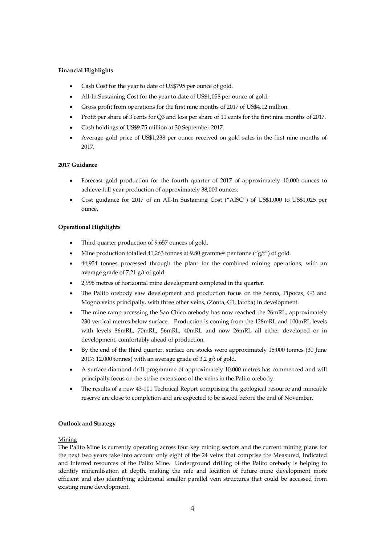# **Financial Highlights**

- Cash Cost for the year to date of US\$795 per ounce of gold.
- All-In Sustaining Cost for the year to date of US\$1,058 per ounce of gold.
- Gross profit from operations for the first nine months of 2017 of US\$4.12 million.
- Profit per share of 3 cents for Q3 and loss per share of 11 cents for the first nine months of 2017.
- Cash holdings of US\$9.75 million at 30 September 2017.
- Average gold price of US\$1,238 per ounce received on gold sales in the first nine months of 2017.

## **2017 Guidance**

- Forecast gold production for the fourth quarter of 2017 of approximately 10,000 ounces to achieve full year production of approximately 38,000 ounces.
- Cost guidance for 2017 of an All-In Sustaining Cost ("AISC") of US\$1,000 to US\$1,025 per ounce.

# **Operational Highlights**

- Third quarter production of 9,657 ounces of gold.
- Mine production totalled 41,263 tonnes at 9.80 grammes per tonne ("g/t") of gold.
- 44,954 tonnes processed through the plant for the combined mining operations, with an average grade of 7.21 g/t of gold.
- 2,996 metres of horizontal mine development completed in the quarter.
- The Palito orebody saw development and production focus on the Senna, Pipocas, G3 and Mogno veins principally, with three other veins, (Zonta, G1, Jatoba) in development.
- The mine ramp accessing the Sao Chico orebody has now reached the 26mRL, approximately 230 vertical metres below surface. Production is coming from the 128mRL and 100mRL levels with levels 86mRL, 70mRL, 56mRL, 40mRL and now 26mRL all either developed or in development, comfortably ahead of production.
- By the end of the third quarter, surface ore stocks were approximately 15,000 tonnes (30 June 2017: 12,000 tonnes) with an average grade of 3.2 g/t of gold.
- A surface diamond drill programme of approximately 10,000 metres has commenced and will principally focus on the strike extensions of the veins in the Palito orebody.
- The results of a new 43-101 Technical Report comprising the geological resource and mineable reserve are close to completion and are expected to be issued before the end of November.

## **Outlook and Strategy**

## Mining

The Palito Mine is currently operating across four key mining sectors and the current mining plans for the next two years take into account only eight of the 24 veins that comprise the Measured, Indicated and Inferred resources of the Palito Mine. Underground drilling of the Palito orebody is helping to identify mineralisation at depth, making the rate and location of future mine development more efficient and also identifying additional smaller parallel vein structures that could be accessed from existing mine development.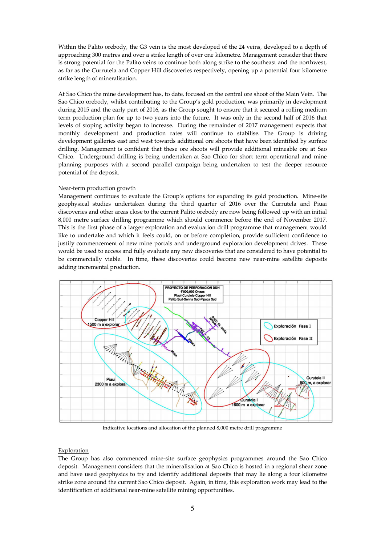Within the Palito orebody, the G3 vein is the most developed of the 24 veins, developed to a depth of approaching 300 metres and over a strike length of over one kilometre. Management consider that there is strong potential for the Palito veins to continue both along strike to the southeast and the northwest, as far as the Currutela and Copper Hill discoveries respectively, opening up a potential four kilometre strike length of mineralisation.

At Sao Chico the mine development has, to date, focused on the central ore shoot of the Main Vein. The Sao Chico orebody, whilst contributing to the Group's gold production, was primarily in development during 2015 and the early part of 2016, as the Group sought to ensure that it secured a rolling medium term production plan for up to two years into the future. It was only in the second half of 2016 that levels of stoping activity began to increase. During the remainder of 2017 management expects that monthly development and production rates will continue to stabilise. The Group is driving development galleries east and west towards additional ore shoots that have been identified by surface drilling. Management is confident that these ore shoots will provide additional mineable ore at Sao Chico. Underground drilling is being undertaken at Sao Chico for short term operational and mine planning purposes with a second parallel campaign being undertaken to test the deeper resource potential of the deposit.

## Near-term production growth

Management continues to evaluate the Group's options for expanding its gold production. Mine-site geophysical studies undertaken during the third quarter of 2016 over the Currutela and Piuai discoveries and other areas close to the current Palito orebody are now being followed up with an initial 8,000 metre surface drilling programme which should commence before the end of November 2017. This is the first phase of a larger exploration and evaluation drill programme that management would like to undertake and which it feels could, on or before completion, provide sufficient confidence to justify commencement of new mine portals and underground exploration development drives. These would be used to access and fully evaluate any new discoveries that are considered to have potential to be commercially viable. In time, these discoveries could become new near-mine satellite deposits adding incremental production.



Indicative locations and allocation of the planned 8,000 metre drill programme

## Exploration

The Group has also commenced mine-site surface geophysics programmes around the Sao Chico deposit. Management considers that the mineralisation at Sao Chico is hosted in a regional shear zone and have used geophysics to try and identify additional deposits that may lie along a four kilometre strike zone around the current Sao Chico deposit. Again, in time, this exploration work may lead to the identification of additional near-mine satellite mining opportunities.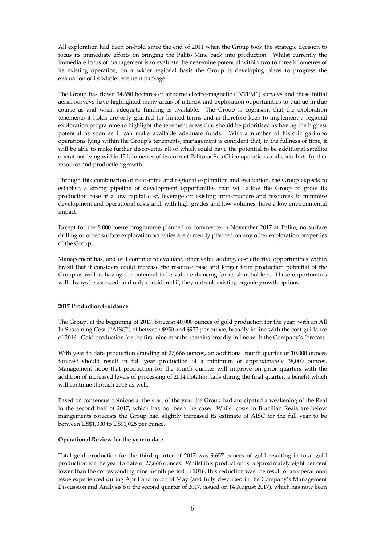All exploration had been on-hold since the end of 2011 when the Group took the strategic decision to focus its immediate efforts on bringing the Palito Mine back into production. Whilst currently the immediate focus of management is to evaluate the near-mine potential within two to three kilometres of its existing operation, on a wider regional basis the Group is developing plans to progress the evaluation of its whole tenement package.

The Group has flown 14,650 hectares of airborne electro-magnetic ("VTEM") surveys and these initial aerial surveys have highlighted many areas of interest and exploration opportunities to pursue in due course as and when adequate funding is available. The Group is cognisant that the exploration tenements it holds are only granted for limited terms and is therefore keen to implement a regional exploration programme to highlight the tenement areas that should be prioritised as having the highest potential as soon as it can make available adequate funds. With a number of historic garimpo operations lying within the Group's tenements, management is confident that, in the fullness of time, it will be able to make further discoveries all of which could have the potential to be additional satellite operations lying within 15 kilometres of its current Palito or Sao Chico operations and contribute further resource and production growth.

Through this combination of near-mine and regional exploration and evaluation, the Group expects to establish a strong pipeline of development opportunities that will allow the Group to grow its production base at a low capital cost, leverage off existing infrastructure and resources to minimise development and operational costs and, with high grades and low volumes, have a low environmental impact.

Except for the 8,000 metre programme planned to commence in November 2017 at Palito, no surface drilling or other surface exploration activities are currently planned on any other exploration properties of the Group.

Management has, and will continue to evaluate, other value adding, cost effective opportunities within Brazil that it considers could increase the resource base and longer term production potential of the Group as well as having the potential to be value enhancing for its shareholders. These opportunities will always be assessed, and only considered if, they outrank existing organic growth options.

## **2017 Production Guidance**

The Group, at the beginning of 2017, forecast 40,000 ounces of gold production for the year, with an All In Sustaining Cost ("AISC") of between \$950 and \$975 per ounce, broadly in line with the cost guidance of 2016. Gold production for the first nine months remains broadly in line with the Company's forecast.

With year to date production standing at 27,666 ounces, an additional fourth quarter of 10,000 ounces forecast should result in full year production of a minimum of approximately 38,000 ounces. Management hope that production for the fourth quarter will improve on prior quarters with the addition of increased levels of processing of 2014 flotation tails during the final quarter, a benefit which will continue through 2018 as well.

Based on consensus opinions at the start of the year the Group had anticipated a weakening of the Real in the second half of 2017, which has not been the case. Whilst costs in Brazilian Reais are below mangements forecasts the Group had slightly increased its estimate of AISC for the full year to be between US\$1,000 to US\$1,025 per ounce.

## **Operational Review for the year to date**

Total gold production for the third quarter of 2017 was 9,657 ounces of gold resulting in total gold production for the year to date of 27,666 ounces. Whilst this production is approximately eight per cent lower than the corresponding nine month period in 2016, this reduction was the result of an operational issue experienced during April and much of May (and fully described in the Company's Management Discussion and Analysis for the second quarter of 2017, issued on 14 August 2017), which has now been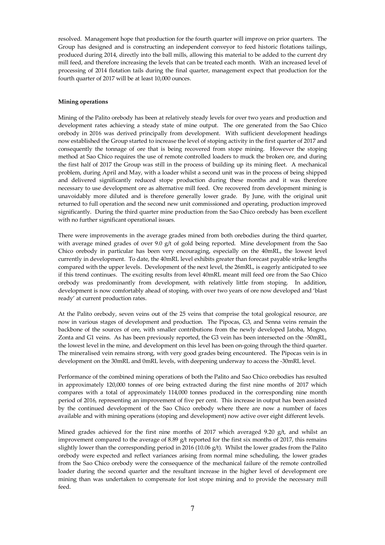resolved. Management hope that production for the fourth quarter will improve on prior quarters. The Group has designed and is constructing an independent conveyor to feed historic flotations tailings, produced during 2014, directly into the ball mills, allowing this material to be added to the current dry mill feed, and therefore increasing the levels that can be treated each month. With an increased level of processing of 2014 flotation tails during the final quarter, management expect that production for the fourth quarter of 2017 will be at least 10,000 ounces.

## **Mining operations**

Mining of the Palito orebody has been at relatively steady levels for over two years and production and development rates achieving a steady state of mine output. The ore generated from the Sao Chico orebody in 2016 was derived principally from development. With sufficient development headings now established the Group started to increase the level of stoping activity in the first quarter of 2017 and consequently the tonnage of ore that is being recovered from stope mining. However the stoping method at Sao Chico requires the use of remote controlled loaders to muck the broken ore, and during the first half of 2017 the Group was still in the process of building up its mining fleet. A mechanical problem, during April and May, with a loader whilst a second unit was in the process of being shipped and delivered significantly reduced stope production during these months and it was therefore necessary to use development ore as alternative mill feed. Ore recovered from development mining is unavoidably more diluted and is therefore generally lower grade. By June, with the original unit returned to full operation and the second new unit commissioned and operating, production improved significantly. During the third quarter mine production from the Sao Chico orebody has been excellent with no further significant operational issues.

There were improvements in the average grades mined from both orebodies during the third quarter, with average mined grades of over 9.0  $g/t$  of gold being reported. Mine development from the Sao Chico orebody in particular has been very encouraging, especially on the 40mRL, the lowest level currently in development. To date, the 40mRL level exhibits greater than forecast payable strike lengths compared with the upper levels. Development of the next level, the 26mRL, is eagerly anticipated to see if this trend continues. The exciting results from level 40mRL meant mill feed ore from the Sao Chico orebody was predominantly from development, with relatively little from stoping. In addition, development is now comfortably ahead of stoping, with over two years of ore now developed and 'blast ready' at current production rates.

At the Palito orebody, seven veins out of the 25 veins that comprise the total geological resource, are now in various stages of development and production. The Pipocas, G3, and Senna veins remain the backbone of the sources of ore, with smaller contributions from the newly developed Jatoba, Mogno, Zonta and G1 veins. As has been previously reported, the G3 vein has been intersected on the -50mRL, the lowest level in the mine, and development on this level has been on-going through the third quarter. The mineralised vein remains strong, with very good grades being encountered. The Pipocas vein is in development on the 30mRL and 0mRL levels, with deepening underway to access the -30mRL level.

Performance of the combined mining operations of both the Palito and Sao Chico orebodies has resulted in approximately 120,000 tonnes of ore being extracted during the first nine months of 2017 which compares with a total of approximately 114,000 tonnes produced in the corresponding nine month period of 2016, representing an improvement of five per cent. This increase in output has been assisted by the continued development of the Sao Chico orebody where there are now a number of faces available and with mining operations (stoping and development) now active over eight different levels.

Mined grades achieved for the first nine months of 2017 which averaged 9.20  $g/t$ , and whilst an improvement compared to the average of 8.89 g/t reported for the first six months of 2017, this remains slightly lower than the corresponding period in 2016 (10.06  $g/t$ ). Whilst the lower grades from the Palito orebody were expected and reflect variances arising from normal mine scheduling, the lower grades from the Sao Chico orebody were the consequence of the mechanical failure of the remote controlled loader during the second quarter and the resultant increase in the higher level of development ore mining than was undertaken to compensate for lost stope mining and to provide the necessary mill feed.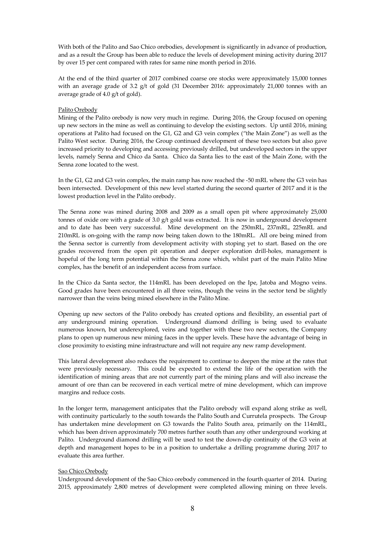With both of the Palito and Sao Chico orebodies, development is significantly in advance of production, and as a result the Group has been able to reduce the levels of development mining activity during 2017 by over 15 per cent compared with rates for same nine month period in 2016.

At the end of the third quarter of 2017 combined coarse ore stocks were approximately 15,000 tonnes with an average grade of 3.2 g/t of gold (31 December 2016: approximately 21,000 tonnes with an average grade of 4.0 g/t of gold).

## Palito Orebody

Mining of the Palito orebody is now very much in regime. During 2016, the Group focused on opening up new sectors in the mine as well as continuing to develop the existing sectors. Up until 2016, mining operations at Palito had focused on the G1, G2 and G3 vein complex ("the Main Zone") as well as the Palito West sector. During 2016, the Group continued development of these two sectors but also gave increased priority to developing and accessing previously drilled, but undeveloped sectors in the upper levels, namely Senna and Chico da Santa. Chico da Santa lies to the east of the Main Zone, with the Senna zone located to the west.

In the G1, G2 and G3 vein complex, the main ramp has now reached the -50 mRL where the G3 vein has been intersected. Development of this new level started during the second quarter of 2017 and it is the lowest production level in the Palito orebody.

The Senna zone was mined during 2008 and 2009 as a small open pit where approximately 25,000 tonnes of oxide ore with a grade of 3.0  $g/t$  gold was extracted. It is now in underground development and to date has been very successful. Mine development on the 250mRL, 237mRL, 225mRL and 210mRL is on-going with the ramp now being taken down to the 180mRL. All ore being mined from the Senna sector is currently from development activity with stoping yet to start. Based on the ore grades recovered from the open pit operation and deeper exploration drill-holes, management is hopeful of the long term potential within the Senna zone which, whilst part of the main Palito Mine complex, has the benefit of an independent access from surface.

In the Chico da Santa sector, the 114mRL has been developed on the Ipe, Jatoba and Mogno veins. Good grades have been encountered in all three veins, though the veins in the sector tend be slightly narrower than the veins being mined elsewhere in the Palito Mine.

Opening up new sectors of the Palito orebody has created options and flexibility, an essential part of any underground mining operation. Underground diamond drilling is being used to evaluate numerous known, but underexplored, veins and together with these two new sectors, the Company plans to open up numerous new mining faces in the upper levels. These have the advantage of being in close proximity to existing mine infrastructure and will not require any new ramp development.

This lateral development also reduces the requirement to continue to deepen the mine at the rates that were previously necessary. This could be expected to extend the life of the operation with the identification of mining areas that are not currently part of the mining plans and will also increase the amount of ore than can be recovered in each vertical metre of mine development, which can improve margins and reduce costs.

In the longer term, management anticipates that the Palito orebody will expand along strike as well, with continuity particularly to the south towards the Palito South and Currutela prospects. The Group has undertaken mine development on G3 towards the Palito South area, primarily on the 114mRL, which has been driven approximately 700 metres further south than any other underground working at Palito. Underground diamond drilling will be used to test the down-dip continuity of the G3 vein at depth and management hopes to be in a position to undertake a drilling programme during 2017 to evaluate this area further.

## Sao Chico Orebody

Underground development of the Sao Chico orebody commenced in the fourth quarter of 2014. During 2015, approximately 2,800 metres of development were completed allowing mining on three levels.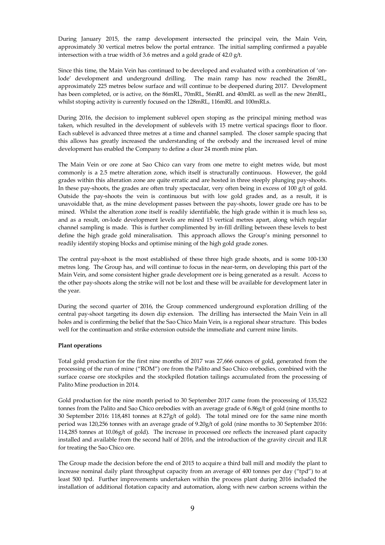During January 2015, the ramp development intersected the principal vein, the Main Vein, approximately 30 vertical metres below the portal entrance. The initial sampling confirmed a payable intersection with a true width of 3.6 metres and a gold grade of 42.0 g/t.

Since this time, the Main Vein has continued to be developed and evaluated with a combination of 'onlode' development and underground drilling. The main ramp has now reached the 26mRL, approximately 225 metres below surface and will continue to be deepened during 2017. Development has been completed, or is active, on the 86mRL, 70mRL, 56mRL and 40mRL as well as the new 26mRL, whilst stoping activity is currently focused on the 128mRL, 116mRL and 100mRLs.

During 2016, the decision to implement sublevel open stoping as the principal mining method was taken, which resulted in the development of sublevels with 15 metre vertical spacings floor to floor. Each sublevel is advanced three metres at a time and channel sampled. The closer sample spacing that this allows has greatly increased the understanding of the orebody and the increased level of mine development has enabled the Company to define a clear 24 month mine plan.

The Main Vein or ore zone at Sao Chico can vary from one metre to eight metres wide, but most commonly is a 2.5 metre alteration zone, which itself is structurally continuous. However, the gold grades within this alteration zone are quite erratic and are hosted in three steeply plunging pay-shoots. In these pay-shoots, the grades are often truly spectacular, very often being in excess of 100 g/t of gold. Outside the pay-shoots the vein is continuous but with low gold grades and, as a result, it is unavoidable that, as the mine development passes between the pay-shoots, lower grade ore has to be mined. Whilst the alteration zone itself is readily identifiable, the high grade within it is much less so, and as a result, on-lode development levels are mined 15 vertical metres apart, along which regular channel sampling is made. This is further complimented by in-fill drilling between these levels to best define the high grade gold mineralisation. This approach allows the Group's mining personnel to readily identify stoping blocks and optimise mining of the high gold grade zones.

The central pay-shoot is the most established of these three high grade shoots, and is some 100-130 metres long. The Group has, and will continue to focus in the near-term, on developing this part of the Main Vein, and some consistent higher grade development ore is being generated as a result. Access to the other pay-shoots along the strike will not be lost and these will be available for development later in the year.

During the second quarter of 2016, the Group commenced underground exploration drilling of the central pay-shoot targeting its down dip extension. The drilling has intersected the Main Vein in all holes and is confirming the belief that the Sao Chico Main Vein, is a regional shear structure. This bodes well for the continuation and strike extension outside the immediate and current mine limits.

## **Plant operations**

Total gold production for the first nine months of 2017 was 27,666 ounces of gold, generated from the processing of the run of mine ("ROM") ore from the Palito and Sao Chico orebodies, combined with the surface coarse ore stockpiles and the stockpiled flotation tailings accumulated from the processing of Palito Mine production in 2014.

Gold production for the nine month period to 30 September 2017 came from the processing of 135,522 tonnes from the Palito and Sao Chico orebodies with an average grade of 6.86g/t of gold (nine months to 30 September 2016: 118,481 tonnes at 8.27g/t of gold). The total mined ore for the same nine month period was 120,256 tonnes with an average grade of 9.20g/t of gold (nine months to 30 September 2016: 114,285 tonnes at 10.06g/t of gold). The increase in processed ore reflects the increased plant capacity installed and available from the second half of 2016, and the introduction of the gravity circuit and ILR for treating the Sao Chico ore.

The Group made the decision before the end of 2015 to acquire a third ball mill and modify the plant to increase nominal daily plant throughput capacity from an average of 400 tonnes per day ("tpd") to at least 500 tpd. Further improvements undertaken within the process plant during 2016 included the installation of additional flotation capacity and automation, along with new carbon screens within the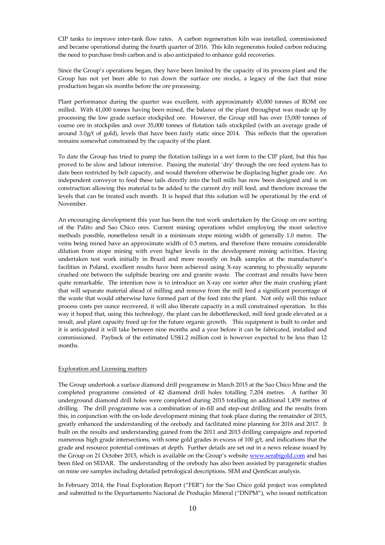CIP tanks to improve inter-tank flow rates. A carbon regeneration kiln was installed, commissioned and became operational during the fourth quarter of 2016. This kiln regenerates fouled carbon reducing the need to purchase fresh carbon and is also anticipated to enhance gold recoveries.

Since the Group's operations began, they have been limited by the capacity of its process plant and the Group has not yet been able to run down the surface ore stocks, a legacy of the fact that mine production began six months before the ore processing.

Plant performance during the quarter was excellent, with approximately 45,000 tonnes of ROM ore milled. With 41,000 tonnes having been mined, the balance of the plant throughput was made up by processing the low grade surface stockpiled ore. However, the Group still has over 15,000 tonnes of coarse ore in stockpiles and over 35,000 tonnes of flotation tails stockpiled (with an average grade of around 3.0g/t of gold), levels that have been fairly static since 2014. This reflects that the operation remains somewhat constrained by the capacity of the plant.

To date the Group has tried to pump the flotation tailings in a wet form to the CIP plant, but this has proved to be slow and labour intensive. Passing the material 'dry' through the ore feed system has to date been restricted by belt capacity, and would therefore otherwise be displacing higher grade ore. An independent conveyor to feed these tails directly into the ball mills has now been designed and is on construction allowing this material to be added to the current dry mill feed, and therefore increase the levels that can be treated each month. It is hoped that this solution will be operational by the end of November.

An encouraging development this year has been the test work undertaken by the Group on ore sorting of the Palito and Sao Chico ores. Current mining operations whilst employing the most selective methods possible, nonetheless result in a minimum stope mining width of generally 1.0 metre. The veins being mined have an approximate width of 0.5 metres, and therefore there remains considerable dilution from stope mining with even higher levels in the development mining activities. Having undertaken test work initially in Brazil and more recently on bulk samples at the manufacturer's facilities in Poland, excellent results have been achieved using X-ray scanning to physically separate crushed ore between the sulphide bearing ore and granite waste. The contrast and results have been quite remarkable. The intention now is to introduce an X-ray ore sorter after the main crushing plant that will separate material ahead of milling and remove from the mill feed a significant percentage of the waste that would otherwise have formed part of the feed into the plant. Not only will this reduce process costs per ounce recovered, it will also liberate capacity in a mill constrained operation. In this way it hoped that, using this technology, the plant can be debottlenecked, mill feed grade elevated as a result, and plant capacity freed up for the future organic growth. This equipment is built to order and it is anticipated it will take between nine months and a year before it can be fabricated, installed and commissioned. Payback of the estimated US\$1.2 million cost is however expected to be less than 12 months.

## Exploration and Licensing matters

The Group undertook a surface diamond drill programme in March 2015 at the Sao Chico Mine and the completed programme consisted of 42 diamond drill holes totalling 7,204 metres. A further 30 underground diamond drill holes were completed during 2015 totalling an additional 1,459 metres of drilling. The drill programme was a combination of in-fill and step-out drilling and the results from this, in conjunction with the on-lode development mining that took place during the remainder of 2015, greatly enhanced the understanding of the orebody and facilitated mine planning for 2016 and 2017. It built on the results and understanding gained from the 2011 and 2013 drilling campaigns and reported numerous high grade intersections, with some gold grades in excess of 100  $g/t$ , and indications that the grade and resource potential continues at depth. Further details are set out in a news release issued by the Group on 21 October 2015, which is available on the Group's website www.serabigold.com and has been filed on SEDAR. The understanding of the orebody has also been assisted by paragenetic studies on mine ore samples including detailed petrological descriptions, SEM and QemScan analysis.

In February 2014, the Final Exploration Report ("FER") for the Sao Chico gold project was completed and submitted to the Departamento Nacional de Produção Mineral ("DNPM"), who issued notification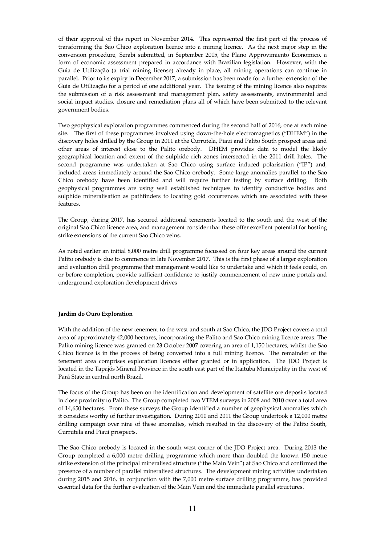of their approval of this report in November 2014. This represented the first part of the process of transforming the Sao Chico exploration licence into a mining licence. As the next major step in the conversion procedure, Serabi submitted, in September 2015, the Plano Approvimiento Economico, a form of economic assessment prepared in accordance with Brazilian legislation. However, with the Guia de Utilização (a trial mining license) already in place, all mining operations can continue in parallel. Prior to its expiry in December 2017, a submission has been made for a further extension of the Guia de Utilização for a period of one additional year. The issuing of the mining licence also requires the submission of a risk assessment and management plan, safety assessments, environmental and social impact studies, closure and remediation plans all of which have been submitted to the relevant government bodies.

Two geophysical exploration programmes commenced during the second half of 2016, one at each mine site. The first of these programmes involved using down-the-hole electromagnetics ("DHEM") in the discovery holes drilled by the Group in 2011 at the Currutela, Piaui and Palito South prospect areas and other areas of interest close to the Palito orebody. DHEM provides data to model the likely geographical location and extent of the sulphide rich zones intersected in the 2011 drill holes. The second programme was undertaken at Sao Chico using surface induced polarisation ("IP") and, included areas immediately around the Sao Chico orebody. Some large anomalies parallel to the Sao Chico orebody have been identified and will require further testing by surface drilling. Both geophysical programmes are using well established techniques to identify conductive bodies and sulphide mineralisation as pathfinders to locating gold occurrences which are associated with these features.

The Group, during 2017, has secured additional tenements located to the south and the west of the original Sao Chico licence area, and management consider that these offer excellent potential for hosting strike extensions of the current Sao Chico veins.

As noted earlier an initial 8,000 metre drill programme focussed on four key areas around the current Palito orebody is due to commence in late November 2017. This is the first phase of a larger exploration and evaluation drill programme that management would like to undertake and which it feels could, on or before completion, provide sufficient confidence to justify commencement of new mine portals and underground exploration development drives

## **Jardim do Ouro Exploration**

With the addition of the new tenement to the west and south at Sao Chico, the JDO Project covers a total area of approximately 42,000 hectares, incorporating the Palito and Sao Chico mining licence areas. The Palito mining licence was granted on 23 October 2007 covering an area of 1,150 hectares, whilst the Sao Chico licence is in the process of being converted into a full mining licence. The remainder of the tenement area comprises exploration licences either granted or in application. The JDO Project is located in the Tapajós Mineral Province in the south east part of the Itaituba Municipality in the west of Pará State in central north Brazil.

The focus of the Group has been on the identification and development of satellite ore deposits located in close proximity to Palito. The Group completed two VTEM surveys in 2008 and 2010 over a total area of 14,650 hectares. From these surveys the Group identified a number of geophysical anomalies which it considers worthy of further investigation. During 2010 and 2011 the Group undertook a 12,000 metre drilling campaign over nine of these anomalies, which resulted in the discovery of the Palito South, Currutela and Piaui prospects.

The Sao Chico orebody is located in the south west corner of the JDO Project area. During 2013 the Group completed a 6,000 metre drilling programme which more than doubled the known 150 metre strike extension of the principal mineralised structure ("the Main Vein") at Sao Chico and confirmed the presence of a number of parallel mineralised structures. The development mining activities undertaken during 2015 and 2016, in conjunction with the 7,000 metre surface drilling programme, has provided essential data for the further evaluation of the Main Vein and the immediate parallel structures.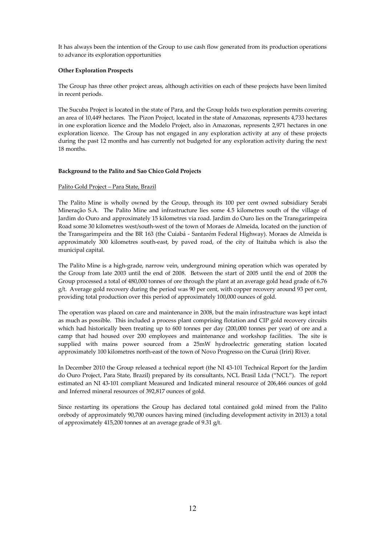It has always been the intention of the Group to use cash flow generated from its production operations to advance its exploration opportunities

## **Other Exploration Prospects**

The Group has three other project areas, although activities on each of these projects have been limited in recent periods.

The Sucuba Project is located in the state of Para, and the Group holds two exploration permits covering an area of 10,449 hectares. The Pizon Project, located in the state of Amazonas, represents 4,733 hectares in one exploration licence and the Modelo Project, also in Amazonas, represents 2,971 hectares in one exploration licence. The Group has not engaged in any exploration activity at any of these projects during the past 12 months and has currently not budgeted for any exploration activity during the next 18 months.

## **Background to the Palito and Sao Chico Gold Projects**

## Palito Gold Project – Para State, Brazil

The Palito Mine is wholly owned by the Group, through its 100 per cent owned subsidiary Serabi Mineração S.A. The Palito Mine and infrastructure lies some 4.5 kilometres south of the village of Jardim do Ouro and approximately 15 kilometres via road. Jardim do Ouro lies on the Transgarimpeira Road some 30 kilometres west/south-west of the town of Moraes de Almeida, located on the junction of the Transgarimpeira and the BR 163 (the Cuiabá - Santarém Federal Highway). Moraes de Almeida is approximately 300 kilometres south-east, by paved road, of the city of Itaituba which is also the municipal capital.

The Palito Mine is a high-grade, narrow vein, underground mining operation which was operated by the Group from late 2003 until the end of 2008. Between the start of 2005 until the end of 2008 the Group processed a total of 480,000 tonnes of ore through the plant at an average gold head grade of 6.76 g/t. Average gold recovery during the period was 90 per cent, with copper recovery around 93 per cent, providing total production over this period of approximately 100,000 ounces of gold.

The operation was placed on care and maintenance in 2008, but the main infrastructure was kept intact as much as possible. This included a process plant comprising flotation and CIP gold recovery circuits which had historically been treating up to 600 tonnes per day (200,000 tonnes per year) of ore and a camp that had housed over 200 employees and maintenance and workshop facilities. The site is supplied with mains power sourced from a 25mW hydroelectric generating station located approximately 100 kilometres north-east of the town of Novo Progresso on the Curuá (Iriri) River.

In December 2010 the Group released a technical report (the NI 43-101 Technical Report for the Jardim do Ouro Project, Para State, Brazil) prepared by its consultants, NCL Brasil Ltda ("NCL"). The report estimated an NI 43-101 compliant Measured and Indicated mineral resource of 206,466 ounces of gold and Inferred mineral resources of 392,817 ounces of gold.

Since restarting its operations the Group has declared total contained gold mined from the Palito orebody of approximately 90,700 ounces having mined (including development activity in 2013) a total of approximately 415,200 tonnes at an average grade of 9.31 g/t.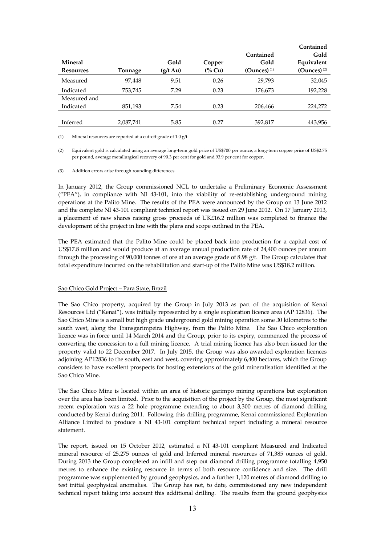|                  |           |                    |                   |                  | Contained      |
|------------------|-----------|--------------------|-------------------|------------------|----------------|
|                  |           |                    |                   | Contained        | Gold           |
| <b>Mineral</b>   |           | Gold               | Copper            | Gold             | Equivalent     |
| <b>Resources</b> | Tonnage   | $(g/t \text{ Au})$ | $\frac{6}{6}$ Cu) | $(Qunces)^{(1)}$ | $(Qunces)$ (2) |
| Measured         | 97,448    | 9.51               | 0.26              | 29,793           | 32,045         |
| Indicated        | 753,745   | 7.29               | 0.23              | 176,673          | 192,228        |
| Measured and     |           |                    |                   |                  |                |
| Indicated        | 851,193   | 7.54               | 0.23              | 206,466          | 224,272        |
|                  |           |                    |                   |                  |                |
| Inferred         | 2,087,741 | 5.85               | 0.27              | 392,817          | 443,956        |

(1) Mineral resources are reported at a cut-off grade of 1.0 g/t.

(2) Equivalent gold is calculated using an average long-term gold price of US\$700 per ounce, a long-term copper price of US\$2.75 per pound, average metallurgical recovery of 90.3 per cent for gold and 93.9 per cent for copper.

(3) Addition errors arise through rounding differences.

In January 2012, the Group commissioned NCL to undertake a Preliminary Economic Assessment ("PEA"), in compliance with NI 43-101, into the viability of re-establishing underground mining operations at the Palito Mine. The results of the PEA were announced by the Group on 13 June 2012 and the complete NI 43-101 compliant technical report was issued on 29 June 2012. On 17 January 2013, a placement of new shares raising gross proceeds of UK£16.2 million was completed to finance the development of the project in line with the plans and scope outlined in the PEA.

The PEA estimated that the Palito Mine could be placed back into production for a capital cost of US\$17.8 million and would produce at an average annual production rate of 24,400 ounces per annum through the processing of 90,000 tonnes of ore at an average grade of 8.98 g/t. The Group calculates that total expenditure incurred on the rehabilitation and start-up of the Palito Mine was US\$18.2 million.

#### Sao Chico Gold Project – Para State, Brazil

The Sao Chico property, acquired by the Group in July 2013 as part of the acquisition of Kenai Resources Ltd ("Kenai"), was initially represented by a single exploration licence area (AP 12836). The Sao Chico Mine is a small but high grade underground gold mining operation some 30 kilometres to the south west, along the Transgarimpeira Highway, from the Palito Mine. The Sao Chico exploration licence was in force until 14 March 2014 and the Group, prior to its expiry, commenced the process of converting the concession to a full mining licence. A trial mining licence has also been issued for the property valid to 22 December 2017. In July 2015, the Group was also awarded exploration licences adjoining AP12836 to the south, east and west, covering approximately 6,400 hectares, which the Group considers to have excellent prospects for hosting extensions of the gold mineralisation identified at the Sao Chico Mine.

The Sao Chico Mine is located within an area of historic garimpo mining operations but exploration over the area has been limited. Prior to the acquisition of the project by the Group, the most significant recent exploration was a 22 hole programme extending to about 3,300 metres of diamond drilling conducted by Kenai during 2011. Following this drilling programme, Kenai commissioned Exploration Alliance Limited to produce a NI 43-101 compliant technical report including a mineral resource statement.

The report, issued on 15 October 2012, estimated a NI 43-101 compliant Measured and Indicated mineral resource of 25,275 ounces of gold and Inferred mineral resources of 71,385 ounces of gold. During 2013 the Group completed an infill and step out diamond drilling programme totalling 4,950 metres to enhance the existing resource in terms of both resource confidence and size. The drill programme was supplemented by ground geophysics, and a further 1,120 metres of diamond drilling to test initial geophysical anomalies. The Group has not, to date, commissioned any new independent technical report taking into account this additional drilling. The results from the ground geophysics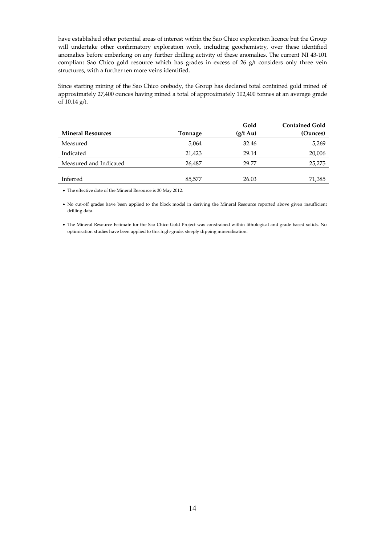have established other potential areas of interest within the Sao Chico exploration licence but the Group will undertake other confirmatory exploration work, including geochemistry, over these identified anomalies before embarking on any further drilling activity of these anomalies. The current NI 43-101 compliant Sao Chico gold resource which has grades in excess of 26 g/t considers only three vein structures, with a further ten more veins identified.

Since starting mining of the Sao Chico orebody, the Group has declared total contained gold mined of approximately 27,400 ounces having mined a total of approximately 102,400 tonnes at an average grade of 10.14 g/t.

|                          |         | Gold          | <b>Contained Gold</b> |
|--------------------------|---------|---------------|-----------------------|
| <b>Mineral Resources</b> | Tonnage | $(g/t \nAtu)$ | (Ounces)              |
| Measured                 | 5,064   | 32.46         | 5,269                 |
| Indicated                | 21,423  | 29.14         | 20,006                |
| Measured and Indicated   | 26,487  | 29.77         | 25,275                |
|                          |         |               |                       |
| Inferred                 | 85,577  | 26.03         | 71,385                |
|                          |         |               |                       |

• The effective date of the Mineral Resource is 30 May 2012.

• No cut-off grades have been applied to the block model in deriving the Mineral Resource reported above given insufficient drilling data.

• The Mineral Resource Estimate for the Sao Chico Gold Project was constrained within lithological and grade based solids. No optimisation studies have been applied to this high-grade, steeply dipping mineralisation.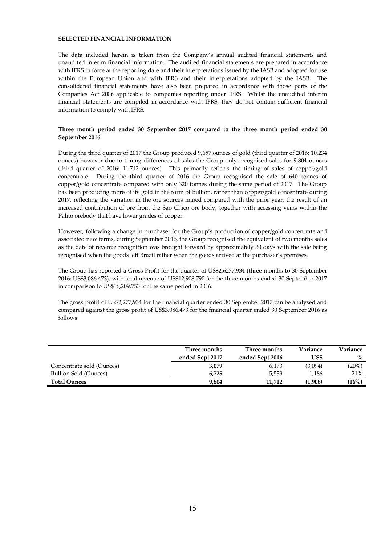## **SELECTED FINANCIAL INFORMATION**

The data included herein is taken from the Company's annual audited financial statements and unaudited interim financial information. The audited financial statements are prepared in accordance with IFRS in force at the reporting date and their interpretations issued by the IASB and adopted for use within the European Union and with IFRS and their interpretations adopted by the IASB. The consolidated financial statements have also been prepared in accordance with those parts of the Companies Act 2006 applicable to companies reporting under IFRS. Whilst the unaudited interim financial statements are compiled in accordance with IFRS, they do not contain sufficient financial information to comply with IFRS.

## **Three month period ended 30 September 2017 compared to the three month period ended 30 September 2016**

During the third quarter of 2017 the Group produced 9,657 ounces of gold (third quarter of 2016: 10,234 ounces) however due to timing differences of sales the Group only recognised sales for 9,804 ounces (third quarter of 2016: 11,712 ounces). This primarily reflects the timing of sales of copper/gold concentrate. During the third quarter of 2016 the Group recognised the sale of 640 tonnes of copper/gold concentrate compared with only 320 tonnes during the same period of 2017. The Group has been producing more of its gold in the form of bullion, rather than copper/gold concentrate during 2017, reflecting the variation in the ore sources mined compared with the prior year, the result of an increased contribution of ore from the Sao Chico ore body, together with accessing veins within the Palito orebody that have lower grades of copper.

However, following a change in purchaser for the Group's production of copper/gold concentrate and associated new terms, during September 2016, the Group recognised the equivalent of two months sales as the date of revenue recognition was brought forward by approximately 30 days with the sale being recognised when the goods left Brazil rather when the goods arrived at the purchaser's premises.

The Group has reported a Gross Profit for the quarter of US\$2,6277,934 (three months to 30 September 2016: US\$3,086,473), with total revenue of US\$12,908,790 for the three months ended 30 September 2017 in comparison to US\$16,209,753 for the same period in 2016.

The gross profit of US\$2,277,934 for the financial quarter ended 30 September 2017 can be analysed and compared against the gross profit of US\$3,086,473 for the financial quarter ended 30 September 2016 as follows:

|                           | Three months<br>ended Sept 2017 | Three months<br>ended Sept 2016 | Variance<br>US\$ | Variance<br>$\%$ |
|---------------------------|---------------------------------|---------------------------------|------------------|------------------|
| Concentrate sold (Ounces) | 3,079                           | 6,173                           | (3,094)          | (20%)            |
| Bullion Sold (Ounces)     | 6.725                           | 5.539                           | 1.186            | 21%              |
| <b>Total Ounces</b>       | 9.804                           | 11,712                          | (1,908)          | (16%)            |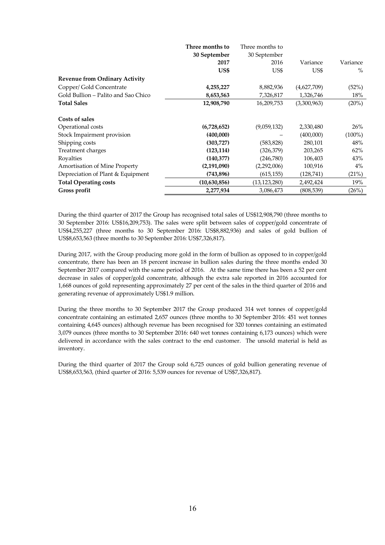|                                       | Three months to | Three months to |             |           |
|---------------------------------------|-----------------|-----------------|-------------|-----------|
|                                       | 30 September    | 30 September    |             |           |
|                                       | 2017            | 2016            | Variance    | Variance  |
|                                       | US\$            | US\$            | US\$        | $\%$      |
| <b>Revenue from Ordinary Activity</b> |                 |                 |             |           |
| Copper/ Gold Concentrate              | 4,255,227       | 8,882,936       | (4,627,709) | (52%)     |
| Gold Bullion – Palito and Sao Chico   | 8,653,563       | 7,326,817       | 1,326,746   | 18%       |
| <b>Total Sales</b>                    | 12,908,790      | 16,209,753      | (3,300,963) | (20%)     |
| Costs of sales                        |                 |                 |             |           |
| Operational costs                     | (6,728,652)     | (9,059,132)     | 2,330,480   | 26%       |
| Stock Impairment provision            | (400,000)       |                 | (400,000)   | $(100\%)$ |
| Shipping costs                        | (303, 727)      | (583, 828)      | 280,101     | 48%       |
| Treatment charges                     | (123, 114)      | (326, 379)      | 203,265     | 62%       |
| Royalties                             | (140,377)       | (246,780)       | 106,403     | 43%       |
| <b>Amortisation of Mine Property</b>  | (2,191,090)     | (2,292,006)     | 100,916     | $4\%$     |
| Depreciation of Plant & Equipment     | (743, 896)      | (615, 155)      | (128,741)   | (21%)     |
| <b>Total Operating costs</b>          | (10,630,856)    | (13, 123, 280)  | 2,492,424   | 19%       |
| Gross profit                          | 2,277,934       | 3,086,473       | (808, 539)  | (26%)     |

During the third quarter of 2017 the Group has recognised total sales of US\$12,908,790 (three months to 30 September 2016: US\$16,209,753). The sales were split between sales of copper/gold concentrate of US\$4,255,227 (three months to 30 September 2016: US\$8,882,936) and sales of gold bullion of US\$8,653,563 (three months to 30 September 2016: US\$7,326,817).

During 2017, with the Group producing more gold in the form of bullion as opposed to in copper/gold concentrate, there has been an 18 percent increase in bullion sales during the three months ended 30 September 2017 compared with the same period of 2016. At the same time there has been a 52 per cent decrease in sales of copper/gold concentrate, although the extra sale reported in 2016 accounted for 1,668 ounces of gold representing approximately 27 per cent of the sales in the third quarter of 2016 and generating revenue of approximately US\$1.9 million.

During the three months to 30 September 2017 the Group produced 314 wet tonnes of copper/gold concentrate containing an estimated 2,657 ounces (three months to 30 September 2016: 451 wet tonnes containing 4,645 ounces) although revenue has been recognised for 320 tonnes containing an estimated 3,079 ounces (three months to 30 September 2016: 640 wet tonnes containing 6,173 ounces) which were delivered in accordance with the sales contract to the end customer. The unsold material is held as inventory.

During the third quarter of 2017 the Group sold 6,725 ounces of gold bullion generating revenue of US\$8,653,563, (third quarter of 2016: 5,539 ounces for revenue of US\$7,326,817).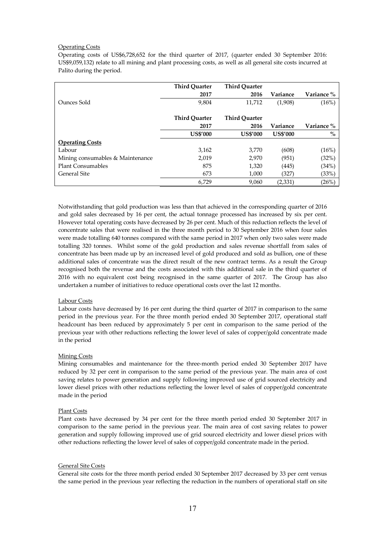## Operating Costs

Operating costs of US\$6,728,652 for the third quarter of 2017, (quarter ended 30 September 2016: US\$9,059,132) relate to all mining and plant processing costs, as well as all general site costs incurred at Palito during the period.

|                                  | <b>Third Ouarter</b> | <b>Third Ouarter</b> |                 |            |
|----------------------------------|----------------------|----------------------|-----------------|------------|
|                                  | 2017                 | 2016                 | Variance        | Variance % |
| Ounces Sold                      | 9,804                | 11,712               | (1,908)         | (16%)      |
|                                  |                      |                      |                 |            |
|                                  | <b>Third Quarter</b> | <b>Third Quarter</b> |                 |            |
|                                  | 2017                 | 2016                 | Variance        | Variance % |
|                                  | <b>US\$'000</b>      | <b>US\$'000</b>      | <b>US\$'000</b> | $\%$       |
| <b>Operating Costs</b>           |                      |                      |                 |            |
| Labour                           | 3,162                | 3,770                | (608)           | (16%)      |
| Mining consumables & Maintenance | 2,019                | 2,970                | (951)           | (32%)      |
| <b>Plant Consumables</b>         | 875                  | 1,320                | (445)           | (34%)      |
| General Site                     | 673                  | 1,000                | (327)           | (33%)      |
|                                  | 6,729                | 9,060                | (2,331)         | (26%)      |

Notwithstanding that gold production was less than that achieved in the corresponding quarter of 2016 and gold sales decreased by 16 per cent, the actual tonnage processed has increased by six per cent. However total operating costs have decreased by 26 per cent. Much of this reduction reflects the level of concentrate sales that were realised in the three month period to 30 September 2016 when four sales were made totalling 640 tonnes compared with the same period in 2017 when only two sales were made totalling 320 tonnes. Whilst some of the gold production and sales revenue shortfall from sales of concentrate has been made up by an increased level of gold produced and sold as bullion, one of these additional sales of concentrate was the direct result of the new contract terms. As a result the Group recognised both the revenue and the costs associated with this additional sale in the third quarter of 2016 with no equivalent cost being recognised in the same quarter of 2017. The Group has also undertaken a number of initiatives to reduce operational costs over the last 12 months.

## Labour Costs

Labour costs have decreased by 16 per cent during the third quarter of 2017 in comparison to the same period in the previous year. For the three month period ended 30 September 2017, operational staff headcount has been reduced by approximately 5 per cent in comparison to the same period of the previous year with other reductions reflecting the lower level of sales of copper/gold concentrate made in the period

## Mining Costs

Mining consumables and maintenance for the three-month period ended 30 September 2017 have reduced by 32 per cent in comparison to the same period of the previous year. The main area of cost saving relates to power generation and supply following improved use of grid sourced electricity and lower diesel prices with other reductions reflecting the lower level of sales of copper/gold concentrate made in the period

## Plant Costs

Plant costs have decreased by 34 per cent for the three month period ended 30 September 2017 in comparison to the same period in the previous year. The main area of cost saving relates to power generation and supply following improved use of grid sourced electricity and lower diesel prices with other reductions reflecting the lower level of sales of copper/gold concentrate made in the period.

#### General Site Costs

General site costs for the three month period ended 30 September 2017 decreased by 33 per cent versus the same period in the previous year reflecting the reduction in the numbers of operational staff on site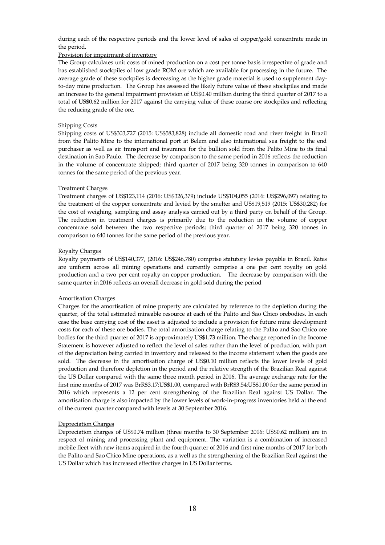during each of the respective periods and the lower level of sales of copper/gold concentrate made in the period.

## Provision for impairment of inventory

The Group calculates unit costs of mined production on a cost per tonne basis irrespective of grade and has established stockpiles of low grade ROM ore which are available for processing in the future. The average grade of these stockpiles is decreasing as the higher grade material is used to supplement dayto-day mine production. The Group has assessed the likely future value of these stockpiles and made an increase to the general impairment provision of US\$0.40 million during the third quarter of 2017 to a total of US\$0.62 million for 2017 against the carrying value of these coarse ore stockpiles and reflecting the reducing grade of the ore.

## Shipping Costs

Shipping costs of US\$303,727 (2015: US\$583,828) include all domestic road and river freight in Brazil from the Palito Mine to the international port at Belem and also international sea freight to the end purchaser as well as air transport and insurance for the bullion sold from the Palito Mine to its final destination in Sao Paulo. The decrease by comparison to the same period in 2016 reflects the reduction in the volume of concentrate shipped; third quarter of 2017 being 320 tonnes in comparison to 640 tonnes for the same period of the previous year.

## Treatment Charges

Treatment charges of US\$123,114 (2016: US\$326,379) include US\$104,055 (2016: US\$296,097) relating to the treatment of the copper concentrate and levied by the smelter and US\$19,519 (2015: US\$30,282) for the cost of weighing, sampling and assay analysis carried out by a third party on behalf of the Group. The reduction in treatment charges is primarily due to the reduction in the volume of copper concentrate sold between the two respective periods; third quarter of 2017 being 320 tonnes in comparison to 640 tonnes for the same period of the previous year.

## Royalty Charges

Royalty payments of US\$140,377, (2016: US\$246,780) comprise statutory levies payable in Brazil. Rates are uniform across all mining operations and currently comprise a one per cent royalty on gold production and a two per cent royalty on copper production. The decrease by comparison with the same quarter in 2016 reflects an overall decrease in gold sold during the period

## Amortisation Charges

Charges for the amortisation of mine property are calculated by reference to the depletion during the quarter, of the total estimated mineable resource at each of the Palito and Sao Chico orebodies. In each case the base carrying cost of the asset is adjusted to include a provision for future mine development costs for each of these ore bodies. The total amortisation charge relating to the Palito and Sao Chico ore bodies for the third quarter of 2017 is approximately US\$1.73 million. The charge reported in the Income Statement is however adjusted to reflect the level of sales rather than the level of production, with part of the depreciation being carried in inventory and released to the income statement when the goods are sold. The decrease in the amortisation charge of US\$0.10 million reflects the lower levels of gold production and therefore depletion in the period and the relative strength of the Brazilian Real against the US Dollar compared with the same three month period in 2016. The average exchange rate for the first nine months of 2017 was BrR\$3.17:US\$1.00, compared with BrR\$3.54:US\$1.00 for the same period in 2016 which represents a 12 per cent strengthening of the Brazilian Real against US Dollar. The amortisation charge is also impacted by the lower levels of work-in-progress inventories held at the end of the current quarter compared with levels at 30 September 2016.

## Depreciation Charges

Depreciation charges of US\$0.74 million (three months to 30 September 2016: US\$0.62 million) are in respect of mining and processing plant and equipment. The variation is a combination of increased mobile fleet with new items acquired in the fourth quarter of 2016 and first nine months of 2017 for both the Palito and Sao Chico Mine operations, as a well as the strengthening of the Brazilian Real against the US Dollar which has increased effective charges in US Dollar terms.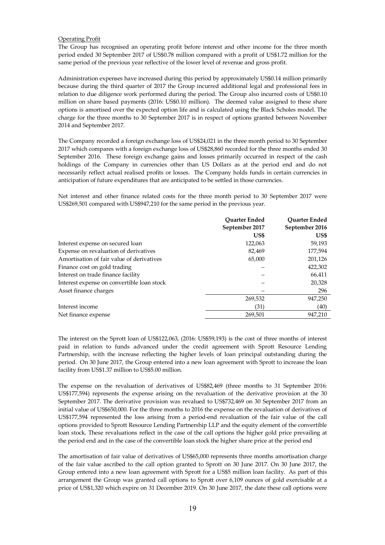## Operating Profit

The Group has recognised an operating profit before interest and other income for the three month period ended 30 September 2017 of US\$0.78 million compared with a profit of US\$1.72 million for the same period of the previous year reflective of the lower level of revenue and gross profit.

Administration expenses have increased during this period by approximately US\$0.14 million primarily because during the third quarter of 2017 the Group incurred additional legal and professional fees in relation to due diligence work performed during the period. The Group also incurred costs of US\$0.10 million on share based payments (2016: US\$0.10 million). The deemed value assigned to these share options is amortised over the expected option life and is calculated using the Black Scholes model. The charge for the three months to 30 September 2017 is in respect of options granted between November 2014 and September 2017.

The Company recorded a foreign exchange loss of US\$24,021 in the three month period to 30 September 2017 which compares with a foreign exchange loss of US\$28,860 recorded for the three months ended 30 September 2016. These foreign exchange gains and losses primarily occurred in respect of the cash holdings of the Company in currencies other than US Dollars as at the period end and do not necessarily reflect actual realised profits or losses. The Company holds funds in certain currencies in anticipation of future expenditures that are anticipated to be settled in those currencies.

Net interest and other finance related costs for the three month period to 30 September 2017 were US\$269,501 compared with US\$947,210 for the same period in the previous year.

|                                            | <b>Ouarter Ended</b> | <b>Ouarter Ended</b> |
|--------------------------------------------|----------------------|----------------------|
|                                            | September 2017       | September 2016       |
|                                            | US\$                 | US\$                 |
| Interest expense on secured loan           | 122,063              | 59,193               |
| Expense on revaluation of derivatives      | 82,469               | 177,594              |
| Amortisation of fair value of derivatives  | 65,000               | 201,126              |
| Finance cost on gold trading               |                      | 422,302              |
| Interest on trade finance facility         |                      | 66,411               |
| Interest expense on convertible loan stock |                      | 20,328               |
| Asset finance charges                      |                      | 296                  |
|                                            | 269,532              | 947,250              |
| Interest income                            | (31)                 | (40)                 |
| Net finance expense                        | 269,501              | 947,210              |

The interest on the Sprott loan of US\$122,063, (2016: US\$59,193) is the cost of three months of interest paid in relation to funds advanced under the credit agreement with Sprott Resource Lending Partnership, with the increase reflecting the higher levels of loan principal outstanding during the period. On 30 June 2017, the Group entered into a new loan agreement with Sprott to increase the loan facility from US\$1.37 million to US\$5.00 million.

The expense on the revaluation of derivatives of US\$82,469 (three months to 31 September 2016: US\$177,594) represents the expense arising on the revaluation of the derivative provision at the 30 September 2017. The derivative provision was revalued to US\$732,469 on 30 September 2017 from an initial value of US\$650,000. For the three months to 2016 the expense on the revaluation of derivatives of US\$177,594 represented the loss arising from a period-end revaluation of the fair value of the call options provided to Sprott Resource Lending Partnership LLP and the equity element of the convertible loan stock. These revaluations reflect in the case of the call options the higher gold price prevailing at the period end and in the case of the convertible loan stock the higher share price at the period end

The amortisation of fair value of derivatives of US\$65,000 represents three months amortisation charge of the fair value ascribed to the call option granted to Sprott on 30 June 2017. On 30 June 2017, the Group entered into a new loan agreement with Sprott for a US\$5 million loan facility. As part of this arrangement the Group was granted call options to Sprott over 6,109 ounces of gold exercisable at a price of US\$1,320 which expire on 31 December 2019. On 30 June 2017, the date these call options were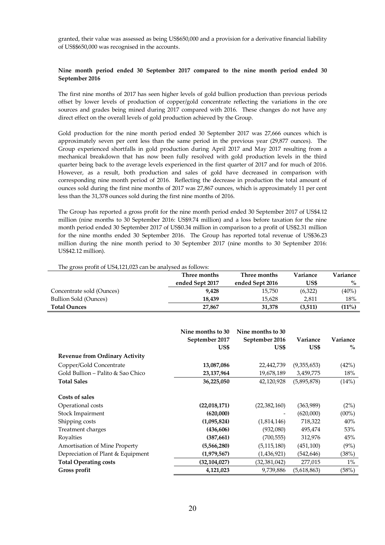granted, their value was assessed as being US\$650,000 and a provision for a derivative financial liability of US\$\$650,000 was recognised in the accounts.

## **Nine month period ended 30 September 2017 compared to the nine month period ended 30 September 2016**

The first nine months of 2017 has seen higher levels of gold bullion production than previous periods offset by lower levels of production of copper/gold concentrate reflecting the variations in the ore sources and grades being mined during 2017 compared with 2016. These changes do not have any direct effect on the overall levels of gold production achieved by the Group.

Gold production for the nine month period ended 30 September 2017 was 27,666 ounces which is approximately seven per cent less than the same period in the previous year (29,877 ounces). The Group experienced shortfalls in gold production during April 2017 and May 2017 resulting from a mechanical breakdown that has now been fully resolved with gold production levels in the third quarter being back to the average levels experienced in the first quarter of 2017 and for much of 2016. However, as a result, both production and sales of gold have decreased in comparison with corresponding nine month period of 2016. Reflecting the decrease in production the total amount of ounces sold during the first nine months of 2017 was 27,867 ounces, which is approximately 11 per cent less than the 31,378 ounces sold during the first nine months of 2016.

The Group has reported a gross profit for the nine month period ended 30 September 2017 of US\$4.12 million (nine months to 30 September 2016: US\$9.74 million) and a loss before taxation for the nine month period ended 30 September 2017 of US\$0.34 million in comparison to a profit of US\$2.31 million for the nine months ended 30 September 2016. The Group has reported total revenue of US\$36.23 million during the nine month period to 30 September 2017 (nine months to 30 September 2016: US\$42.12 million).

| The gross profit of US4,121,023 can be analysed as follows: |                 |                 |          |          |
|-------------------------------------------------------------|-----------------|-----------------|----------|----------|
|                                                             | Three months    | Three months    | Variance | Variance |
|                                                             | ended Sept 2017 | ended Sept 2016 | US\$     | $\%$     |
| Concentrate sold (Ounces)                                   | 9.428           | 15.750          | (6,322)  | $(40\%)$ |
| Bullion Sold (Ounces)                                       | 18.439          | 15.628          | 2,811    | 18%      |
| <b>Total Ounces</b>                                         | 27,867          | 31,378          | (3,511)  | (11%)    |

|                                       | Nine months to 30<br>September 2017<br>US\$ | Nine months to 30<br>September 2016<br>US\$ | Variance<br>US\$ | Variance<br>$\%$ |
|---------------------------------------|---------------------------------------------|---------------------------------------------|------------------|------------------|
| <b>Revenue from Ordinary Activity</b> |                                             |                                             |                  |                  |
| Copper/Gold Concentrate               | 13,087,086                                  | 22,442,739                                  | (9,355,653)      | (42%)            |
| Gold Bullion – Palito & Sao Chico     | 23, 137, 964                                | 19,678,189                                  | 3,459,775        | 18%              |
| <b>Total Sales</b>                    | 36,225,050                                  | 42,120,928                                  | (5,895,878)      | (14%)            |
| Costs of sales                        |                                             |                                             |                  |                  |
| Operational costs                     | (22,018,171)                                | (22, 382, 160)                              | (363,989)        | (2%)             |
| Stock Impairment                      | (620,000)                                   |                                             | (620,000)        | $(00\%)$         |
| Shipping costs                        | (1,095,824)                                 | (1,814,146)                                 | 718,322          | 40%              |
| Treatment charges                     | (436,606)                                   | (932,080)                                   | 495,474          | 53%              |
| Royalties                             | (387,661)                                   | (700, 555)                                  | 312,976          | 45%              |
| Amortisation of Mine Property         | (5,566,280)                                 | (5, 115, 180)                               | (451, 100)       | (9%)             |
| Depreciation of Plant & Equipment     | (1,979,567)                                 | (1, 436, 921)                               | (542, 646)       | (38%)            |
| <b>Total Operating costs</b>          | (32, 104, 027)                              | (32, 381, 042)                              | 277,015          | $1\%$            |
| Gross profit                          | 4,121,023                                   | 9,739,886                                   | (5,618,863)      | (58%)            |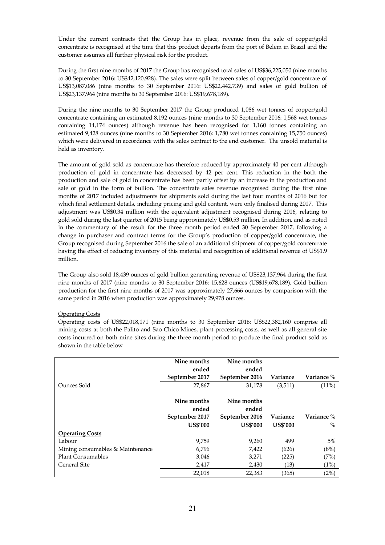Under the current contracts that the Group has in place, revenue from the sale of copper/gold concentrate is recognised at the time that this product departs from the port of Belem in Brazil and the customer assumes all further physical risk for the product.

During the first nine months of 2017 the Group has recognised total sales of US\$36,225,050 (nine months to 30 September 2016: US\$42,120,928). The sales were split between sales of copper/gold concentrate of US\$13,087,086 (nine months to 30 September 2016: US\$22,442,739) and sales of gold bullion of US\$23,137,964 (nine months to 30 September 2016: US\$19,678,189).

During the nine months to 30 September 2017 the Group produced 1,086 wet tonnes of copper/gold concentrate containing an estimated 8,192 ounces (nine months to 30 September 2016: 1,568 wet tonnes containing 14,174 ounces) although revenue has been recognised for 1,160 tonnes containing an estimated 9,428 ounces (nine months to 30 September 2016: 1,780 wet tonnes containing 15,750 ounces) which were delivered in accordance with the sales contract to the end customer. The unsold material is held as inventory.

The amount of gold sold as concentrate has therefore reduced by approximately 40 per cent although production of gold in concentrate has decreased by 42 per cent. This reduction in the both the production and sale of gold in concentrate has been partly offset by an increase in the production and sale of gold in the form of bullion. The concentrate sales revenue recognised during the first nine months of 2017 included adjustments for shipments sold during the last four months of 2016 but for which final settlement details, including pricing and gold content, were only finalised during 2017. This adjustment was US\$0.34 million with the equivalent adjustment recognised during 2016, relating to gold sold during the last quarter of 2015 being approximately US\$0.53 million. In addition, and as noted in the commentary of the result for the three month period ended 30 September 2017, following a change in purchaser and contract terms for the Group's production of copper/gold concentrate, the Group recognised during September 2016 the sale of an additional shipment of copper/gold concentrate having the effect of reducing inventory of this material and recognition of additional revenue of US\$1.9 million.

The Group also sold 18,439 ounces of gold bullion generating revenue of US\$23,137,964 during the first nine months of 2017 (nine months to 30 September 2016: 15,628 ounces (US\$19,678,189). Gold bullion production for the first nine months of 2017 was approximately 27,666 ounces by comparison with the same period in 2016 when production was approximately 29,978 ounces.

## Operating Costs

Operating costs of US\$22,018,171 (nine months to 30 September 2016: US\$22,382,160 comprise all mining costs at both the Palito and Sao Chico Mines, plant processing costs, as well as all general site costs incurred on both mine sites during the three month period to produce the final product sold as shown in the table below

|                                  | Nine months<br>ended | Nine months<br>ended |                 |            |
|----------------------------------|----------------------|----------------------|-----------------|------------|
|                                  | September 2017       | September 2016       | Variance        | Variance % |
| Ounces Sold                      | 27,867               | 31,178               | (3,511)         | (11%)      |
|                                  |                      |                      |                 |            |
|                                  | Nine months          | Nine months          |                 |            |
|                                  | ended                | ended                |                 |            |
|                                  | September 2017       | September 2016       | Variance        | Variance % |
|                                  | <b>US\$'000</b>      | <b>US\$'000</b>      | <b>US\$'000</b> | $\%$       |
| <b>Operating Costs</b>           |                      |                      |                 |            |
| Labour                           | 9,759                | 9,260                | 499             | 5%         |
| Mining consumables & Maintenance | 6,796                | 7,422                | (626)           | (8%)       |
| <b>Plant Consumables</b>         | 3,046                | 3,271                | (225)           | (7%)       |
| General Site                     | 2,417                | 2,430                | (13)            | (1%)       |
|                                  | 22,018               | 22,383               | (365)           | (2%)       |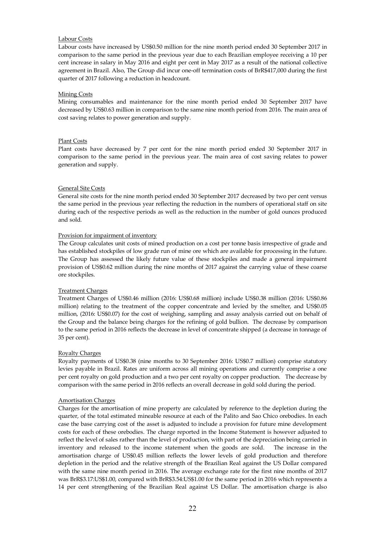# Labour Costs

Labour costs have increased by US\$0.50 million for the nine month period ended 30 September 2017 in comparison to the same period in the previous year due to each Brazilian employee receiving a 10 per cent increase in salary in May 2016 and eight per cent in May 2017 as a result of the national collective agreement in Brazil. Also, The Group did incur one-off termination costs of BrR\$417,000 during the first quarter of 2017 following a reduction in headcount.

#### Mining Costs

Mining consumables and maintenance for the nine month period ended 30 September 2017 have decreased by US\$0.63 million in comparison to the same nine month period from 2016. The main area of cost saving relates to power generation and supply.

#### Plant Costs

Plant costs have decreased by 7 per cent for the nine month period ended 30 September 2017 in comparison to the same period in the previous year. The main area of cost saving relates to power generation and supply.

#### General Site Costs

General site costs for the nine month period ended 30 September 2017 decreased by two per cent versus the same period in the previous year reflecting the reduction in the numbers of operational staff on site during each of the respective periods as well as the reduction in the number of gold ounces produced and sold.

#### Provision for impairment of inventory

The Group calculates unit costs of mined production on a cost per tonne basis irrespective of grade and has established stockpiles of low grade run of mine ore which are available for processing in the future. The Group has assessed the likely future value of these stockpiles and made a general impairment provision of US\$0.62 million during the nine months of 2017 against the carrying value of these coarse ore stockpiles.

## Treatment Charges

Treatment Charges of US\$0.46 million (2016: US\$0.68 million) include US\$0.38 million (2016: US\$0.86 million) relating to the treatment of the copper concentrate and levied by the smelter, and US\$0.05 million, (2016: US\$0.07) for the cost of weighing, sampling and assay analysis carried out on behalf of the Group and the balance being charges for the refining of gold bullion. The decrease by comparison to the same period in 2016 reflects the decrease in level of concentrate shipped (a decrease in tonnage of 35 per cent).

## Royalty Charges

Royalty payments of US\$0.38 (nine months to 30 September 2016: US\$0.7 million) comprise statutory levies payable in Brazil. Rates are uniform across all mining operations and currently comprise a one per cent royalty on gold production and a two per cent royalty on copper production. The decrease by comparison with the same period in 2016 reflects an overall decrease in gold sold during the period.

#### Amortisation Charges

Charges for the amortisation of mine property are calculated by reference to the depletion during the quarter, of the total estimated mineable resource at each of the Palito and Sao Chico orebodies. In each case the base carrying cost of the asset is adjusted to include a provision for future mine development costs for each of these orebodies. The charge reported in the Income Statement is however adjusted to reflect the level of sales rather than the level of production, with part of the depreciation being carried in inventory and released to the income statement when the goods are sold. The increase in the amortisation charge of US\$0.45 million reflects the lower levels of gold production and therefore depletion in the period and the relative strength of the Brazilian Real against the US Dollar compared with the same nine month period in 2016. The average exchange rate for the first nine months of 2017 was BrR\$3.17:US\$1.00, compared with BrR\$3.54:US\$1.00 for the same period in 2016 which represents a 14 per cent strengthening of the Brazilian Real against US Dollar. The amortisation charge is also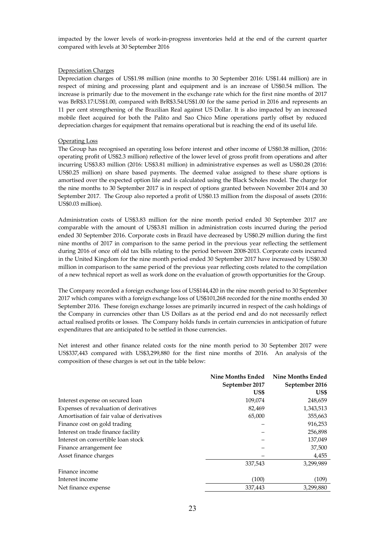impacted by the lower levels of work-in-progress inventories held at the end of the current quarter compared with levels at 30 September 2016

## Depreciation Charges

Depreciation charges of US\$1.98 million (nine months to 30 September 2016: US\$1.44 million) are in respect of mining and processing plant and equipment and is an increase of US\$0.54 million. The increase is primarily due to the movement in the exchange rate which for the first nine months of 2017 was BrR\$3.17:US\$1.00, compared with BrR\$3.54:US\$1.00 for the same period in 2016 and represents an 11 per cent strengthening of the Brazilian Real against US Dollar. It is also impacted by an increased mobile fleet acquired for both the Palito and Sao Chico Mine operations partly offset by reduced depreciation charges for equipment that remains operational but is reaching the end of its useful life.

## Operating Loss

The Group has recognised an operating loss before interest and other income of US\$0.38 million, (2016: operating profit of US\$2.3 million) reflective of the lower level of gross profit from operations and after incurring US\$3.83 million (2016: US\$3.81 million) in administrative expenses as well as US\$0.28 (2016: US\$0.25 million) on share based payments. The deemed value assigned to these share options is amortised over the expected option life and is calculated using the Black Scholes model. The charge for the nine months to 30 September 2017 is in respect of options granted between November 2014 and 30 September 2017. The Group also reported a profit of US\$0.13 million from the disposal of assets (2016: US\$0.03 million).

Administration costs of US\$3.83 million for the nine month period ended 30 September 2017 are comparable with the amount of US\$3.81 million in administration costs incurred during the period ended 30 September 2016. Corporate costs in Brazil have decreased by US\$0.29 million during the first nine months of 2017 in comparison to the same period in the previous year reflecting the settlement during 2016 of once off old tax bills relating to the period between 2008-2013. Corporate costs incurred in the United Kingdom for the nine month period ended 30 September 2017 have increased by US\$0.30 million in comparison to the same period of the previous year reflecting costs related to the compilation of a new technical report as well as work done on the evaluation of growth opportunities for the Group.

The Company recorded a foreign exchange loss of US\$144,420 in the nine month period to 30 September 2017 which compares with a foreign exchange loss of US\$101,268 recorded for the nine months ended 30 September 2016. These foreign exchange losses are primarily incurred in respect of the cash holdings of the Company in currencies other than US Dollars as at the period end and do not necessarily reflect actual realised profits or losses. The Company holds funds in certain currencies in anticipation of future expenditures that are anticipated to be settled in those currencies.

Net interest and other finance related costs for the nine month period to 30 September 2017 were US\$337,443 compared with US\$3,299,880 for the first nine months of 2016. An analysis of the composition of these charges is set out in the table below:

|                                           | Nine Months Ended | <b>Nine Months Ended</b> |
|-------------------------------------------|-------------------|--------------------------|
|                                           | September 2017    | September 2016           |
|                                           | US\$              | US\$                     |
| Interest expense on secured loan          | 109,074           | 248,659                  |
| Expenses of revaluation of derivatives    | 82,469            | 1,343,513                |
| Amortisation of fair value of derivatives | 65,000            | 355,663                  |
| Finance cost on gold trading              |                   | 916,253                  |
| Interest on trade finance facility        |                   | 256,898                  |
| Interest on convertible loan stock        |                   | 137,049                  |
| Finance arrangement fee                   |                   | 37,500                   |
| Asset finance charges                     |                   | 4,455                    |
|                                           | 337,543           | 3,299,989                |
| Finance income                            |                   |                          |
| Interest income                           | (100)             | (109)                    |
| Net finance expense                       | 337,443           | 3,299,880                |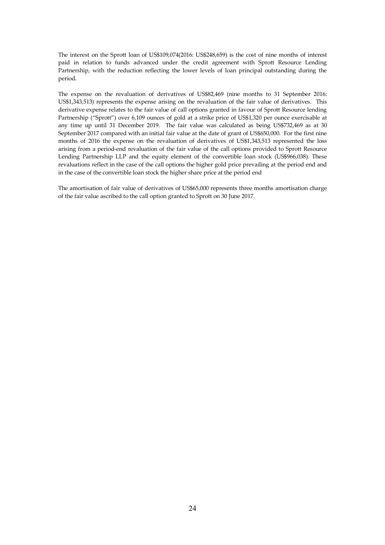The interest on the Sprott loan of US\$109,074(2016: US\$248,659) is the cost of nine months of interest paid in relation to funds advanced under the credit agreement with Sprott Resource Lending Partnership, with the reduction reflecting the lower levels of loan principal outstanding during the period.

The expense on the revaluation of derivatives of US\$82,469 (nine months to 31 September 2016: US\$1,343,513) represents the expense arising on the revaluation of the fair value of derivatives. This derivative expense relates to the fair value of call options granted in favour of Sprott Resource lending Partnership ("Sprott") over 6,109 ounces of gold at a strike price of US\$1,320 per ounce exercisable at any time up until 31 December 2019. The fair value was calculated as being US\$732,469 as at 30 September 2017 compared with an initial fair value at the date of grant of US\$650,000. For the first nine months of 2016 the expense on the revaluation of derivatives of US\$1,343,513 represented the loss arising from a period-end revaluation of the fair value of the call options provided to Sprott Resource Lending Partnership LLP and the equity element of the convertible loan stock (US\$966,038). These revaluations reflect in the case of the call options the higher gold price prevailing at the period end and in the case of the convertible loan stock the higher share price at the period end

The amortisation of fair value of derivatives of US\$65,000 represents three months amortisation charge of the fair value ascribed to the call option granted to Sprott on 30 June 2017.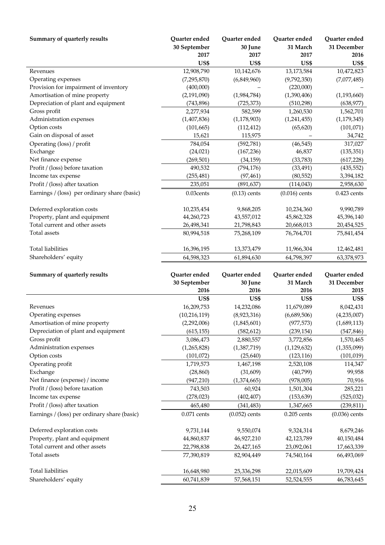| Summary of quarterly results                 | Quarter ended  | Quarter ended   | Quarter ended   | Quarter ended   |
|----------------------------------------------|----------------|-----------------|-----------------|-----------------|
|                                              | 30 September   | 30 June         | 31 March        | 31 December     |
|                                              | 2017           | 2017            | 2017            | 2016            |
|                                              | US\$           | US\$            | <b>US\$</b>     | US\$            |
| Revenues                                     | 12,908,790     | 10,142,676      | 13,173,584      | 10,472,823      |
| Operating expenses                           | (7,295,870)    | (6,849,960)     | (9,792,350)     | (7,077,485)     |
| Provision for impairment of inventory        | (400,000)      |                 | (220,000)       |                 |
| Amortisation of mine property                | (2,191,090)    | (1,984,784)     | (1,390,406)     | (1, 193, 660)   |
| Depreciation of plant and equipment          | (743, 896)     | (725, 373)      | (510, 298)      | (638, 977)      |
| Gross profit                                 | 2,277,934      | 582,599         | 1,260,530       | 1,562,701       |
| Administration expenses                      | (1,407,836)    | (1, 178, 903)   | (1,241,455)     | (1, 179, 345)   |
| Option costs                                 | (101, 665)     | (112, 412)      | (65, 620)       | (101, 071)      |
| Gain on disposal of asset                    | 15,621         | 115,975         |                 | 34,742          |
| Operating (loss) / profit                    | 784,054        | (592, 781)      | (46, 545)       | 317,027         |
| Exchange                                     | (24, 021)      | (167, 236)      | 46,837          | (135, 351)      |
| Net finance expense                          | (269, 501)     | (34, 159)       | (33, 783)       | (617, 228)      |
| Profit / (loss) before taxation              | 490,532        | (794, 176)      | (33, 491)       | (435, 552)      |
| Income tax expense                           | (255, 481)     | (97, 461)       | (80, 552)       | 3,394,182       |
| Profit / (loss) after taxation               | 235,051        | (891, 637)      | (114, 043)      | 2,958,630       |
| Earnings / (loss) per ordinary share (basic) | 0.03cents      | $(0.13)$ cents  | $(0.016)$ cents | $0.423$ cents   |
| Deferred exploration costs                   | 10,235,454     | 9,868,205       | 10,234,360      | 9,990,789       |
| Property, plant and equipment                | 44,260,723     | 43,557,012      | 45,862,328      | 45,396,140      |
| Total current and other assets               | 26,498,341     | 21,798,843      | 20,668,013      | 20,454,525      |
| Total assets                                 | 80,994,518     | 75,268,109      | 76,764,701      | 75,841,454      |
|                                              |                |                 |                 |                 |
| <b>Total liabilities</b>                     | 16,396,195     | 13,373,479      | 11,966,304      | 12,462,481      |
| Shareholders' equity                         | 64,598,323     | 61,894,630      | 64,798,397      | 63,378,973      |
| Summary of quarterly results                 | Quarter ended  | Quarter ended   | Quarter ended   | Quarter ended   |
|                                              | 30 September   | 30 June         | 31 March        | 31 December     |
|                                              | 2016           | 2016            | 2016            | 2015            |
|                                              | US\$           | US\$            | US\$            | US\$            |
| Revenues                                     | 16,209,753     | 14,232,086      | 11,679,089      | 8,042,431       |
| Operating expenses                           | (10, 216, 119) | (8,923,316)     | (6,689,506)     | (4,235,007)     |
| Amortisation of mine property                | (2,292,006)    | (1,845,601)     | (977, 573)      | (1,689,113)     |
| Depreciation of plant and equipment          | (615, 155)     | (582, 612)      | (239, 154)      | (547, 846)      |
| Gross profit                                 | 3,086,473      | 2,880,557       | 3,772,856       | 1,570,465       |
| Administration expenses                      | (1,265,828)    | (1,387,719)     | (1, 129, 632)   | (1,355,099)     |
| Option costs                                 | (101, 072)     | (25, 640)       | (123, 116)      | (101, 019)      |
| Operating profit                             | 1,719,573      | 1,467,198       | 2,520,108       | 114,347         |
| Exchange                                     | (28, 860)      |                 |                 |                 |
|                                              |                |                 |                 |                 |
|                                              |                | (31, 609)       | (40,799)        | 99,958          |
| Net finance (expense) / income               | (947, 210)     | (1,374,665)     | (978,005)       | 70,916          |
| Profit / (loss) before taxation              | 743,503        | 60,924          | 1,501,304       | 285,221         |
| Income tax expense                           | (278, 023)     | (402, 407)      | (153, 639)      | (525, 032)      |
| Profit / (loss) after taxation               | 465,480        | (341, 483)      | 1,347,665       | (239, 811)      |
| Earnings / (loss) per ordinary share (basic) | $0.071$ cents  | $(0.052)$ cents | $0.205$ cents   | $(0.036)$ cents |
| Deferred exploration costs                   | 9,731,144      | 9,550,074       | 9,324,314       | 8,679,246       |
| Property, plant and equipment                | 44,860,837     | 46,927,210      | 42,123,789      | 40,150,484      |
| Total current and other assets               | 22,798,838     | 26,427,165      | 23,092,061      | 17,663,339      |
| Total assets                                 | 77,390,819     | 82,904,449      | 74,540,164      | 66,493,069      |
| <b>Total liabilities</b>                     | 16,648,980     | 25,336,298      | 22,015,609      | 19,709,424      |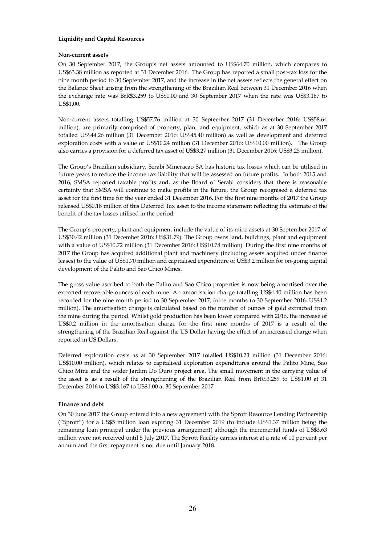## **Liquidity and Capital Resources**

## **Non-current assets**

On 30 September 2017, the Group's net assets amounted to US\$64.70 million, which compares to US\$63.38 million as reported at 31 December 2016. The Group has reported a small post-tax loss for the nine month period to 30 September 2017, and the increase in the net assets reflects the general effect on the Balance Sheet arising from the strengthening of the Brazilian Real between 31 December 2016 when the exchange rate was BrR\$3.259 to US\$1.00 and 30 September 2017 when the rate was US\$3.167 to US\$1.00.

Non-current assets totalling US\$57.76 million at 30 September 2017 (31 December 2016: US\$58.64 million), are primarily comprised of property, plant and equipment, which as at 30 September 2017 totalled US\$44.26 million (31 December 2016: US\$45.40 million) as well as development and deferred exploration costs with a value of US\$10.24 million (31 December 2016: US\$10.00 million). The Group also carries a provision for a deferred tax asset of US\$3.27 million (31 December 2016: US\$3.25 million).

The Group's Brazilian subsidiary, Serabi Mineracao SA has historic tax losses which can be utilised in future years to reduce the income tax liability that will be assessed on future profits. In both 2015 and 2016, SMSA reported taxable profits and, as the Board of Serabi considers that there is reasonable certainty that SMSA will continue to make profits in the future, the Group recognised a deferred tax asset for the first time for the year ended 31 December 2016. For the first nine months of 2017 the Group released US\$0.18 million of this Deferred Tax asset to the income statement reflecting the estimate of the benefit of the tax losses utilised in the period.

The Group's property, plant and equipment include the value of its mine assets at 30 September 2017 of US\$30.42 million (31 December 2016: US\$31.79). The Group owns land, buildings, plant and equipment with a value of US\$10.72 million (31 December 2016: US\$10.78 million). During the first nine months of 2017 the Group has acquired additional plant and machinery (including assets acquired under finance leases) to the value of US\$1.70 million and capitalised expenditure of US\$3.2 million for on-going capital development of the Palito and Sao Chico Mines.

The gross value ascribed to both the Palito and Sao Chico properties is now being amortised over the expected recoverable ounces of each mine. An amortisation charge totalling US\$4.40 million has been recorded for the nine month period to 30 September 2017, (nine months to 30 September 2016: US\$4.2 million). The amortisation charge is calculated based on the number of ounces of gold extracted from the mine during the period. Whilst gold production has been lower compared with 2016, the increase of US\$0.2 million in the amortisation charge for the first nine months of 2017 is a result of the strengthening of the Brazilian Real against the US Dollar having the effect of an increased charge when reported in US Dollars.

Deferred exploration costs as at 30 September 2017 totalled US\$10.23 million (31 December 2016: US\$10.00 million), which relates to capitalised exploration expenditures around the Palito Mine, Sao Chico Mine and the wider Jardim Do Ouro project area. The small movement in the carrying value of the asset is as a result of the strengthening of the Brazilian Real from BrR\$3.259 to US\$1.00 at 31 December 2016 to US\$3.167 to US\$1.00 at 30 September 2017.

## **Finance and debt**

On 30 June 2017 the Group entered into a new agreement with the Sprott Resource Lending Partnership ("Sprott") for a US\$5 million loan expiring 31 December 2019 (to include US\$1.37 million being the remaining loan principal under the previous arrangement) although the incremental funds of US\$3.63 million were not received until 5 July 2017. The Sprott Facility carries interest at a rate of 10 per cent per annum and the first repayment is not due until January 2018.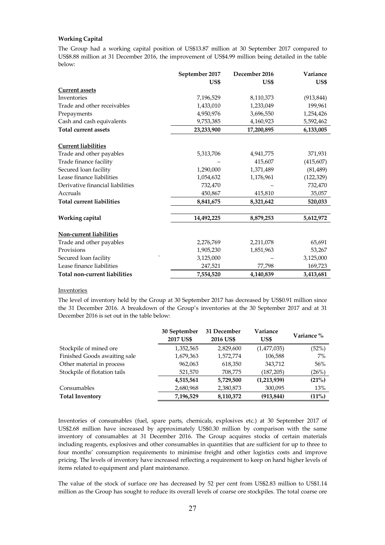## **Working Capital**

The Group had a working capital position of US\$13.87 million at 30 September 2017 compared to US\$8.88 million at 31 December 2016, the improvement of US\$4.99 million being detailed in the table below:

|                                  | September 2017 | December 2016 | Variance   |
|----------------------------------|----------------|---------------|------------|
|                                  | US\$           | US\$          | US\$       |
| <b>Current assets</b>            |                |               |            |
| Inventories                      | 7,196,529      | 8,110,373     | (913, 844) |
| Trade and other receivables      | 1,433,010      | 1,233,049     | 199,961    |
| Prepayments                      | 4,950,976      | 3,696,550     | 1,254,426  |
| Cash and cash equivalents        | 9,753,385      | 4,160,923     | 5,592,462  |
| <b>Total current assets</b>      | 23,233,900     | 17,200,895    | 6,133,005  |
| <b>Current liabilities</b>       |                |               |            |
| Trade and other payables         | 5,313,706      | 4,941,775     | 371,931    |
| Trade finance facility           |                | 415,607       | (415, 607) |
| Secured loan facility            | 1,290,000      | 1,371,489     | (81, 489)  |
| Lease finance liabilities        | 1,054,632      | 1,176,961     | (122, 329) |
| Derivative financial liabilities | 732,470        |               | 732,470    |
| Accruals                         | 450,867        | 415,810       | 35,057     |
| <b>Total current liabilities</b> | 8,841,675      | 8,321,642     | 520,033    |
| Working capital                  | 14,492,225     | 8,879,253     | 5,612,972  |
| Non-current liabilities          |                |               |            |
| Trade and other payables         | 2,276,769      | 2,211,078     | 65,691     |
| Provisions                       | 1,905,230      | 1,851,963     | 53,267     |
| Secured loan facility            | 3,125,000      |               | 3,125,000  |
| Lease finance liabilities        | 247,521        | 77,798        | 169,723    |
| Total non-current liabilities    | 7,554,520      | 4,140,839     | 3,413,681  |

#### Inventories

The level of inventory held by the Group at 30 September 2017 has decreased by US\$0.91 million since the 31 December 2016. A breakdown of the Group's inventories at the 30 September 2017 and at 31 December 2016 is set out in the table below:

|                              | 30 September<br>2017 US\$ | 31 December<br>2016 US\$ | Variance<br>US\$ | Variance % |
|------------------------------|---------------------------|--------------------------|------------------|------------|
| Stockpile of mined ore       | 1,352,565                 | 2,829,600                | (1,477,035)      | (52%)      |
| Finished Goods awaiting sale | 1,679,363                 | 1,572,774                | 106,588          | $7\%$      |
| Other material in process    | 962,063                   | 618,350                  | 343,712          | 56%        |
| Stockpile of flotation tails | 521,570                   | 708,775                  | (187, 205)       | (26%)      |
|                              | 4,515,561                 | 5,729,500                | (1,213,939)      | (21%)      |
| Consumables                  | 2,680,968                 | 2,380,873                | 300,095          | 13%        |
| <b>Total Inventory</b>       | 7,196,529                 | 8,110,372                | (913, 844)       | (11%)      |

Inventories of consumables (fuel, spare parts, chemicals, explosives etc.) at 30 September 2017 of US\$2.68 million have increased by approximately US\$0.30 million by comparison with the same inventory of consumables at 31 December 2016. The Group acquires stocks of certain materials including reagents, explosives and other consumables in quantities that are sufficient for up to three to four months' consumption requirements to minimise freight and other logistics costs and improve pricing. The levels of inventory have increased reflecting a requirement to keep on hand higher levels of items related to equipment and plant maintenance.

The value of the stock of surface ore has decreased by 52 per cent from US\$2.83 million to US\$1.14 million as the Group has sought to reduce its overall levels of coarse ore stockpiles. The total coarse ore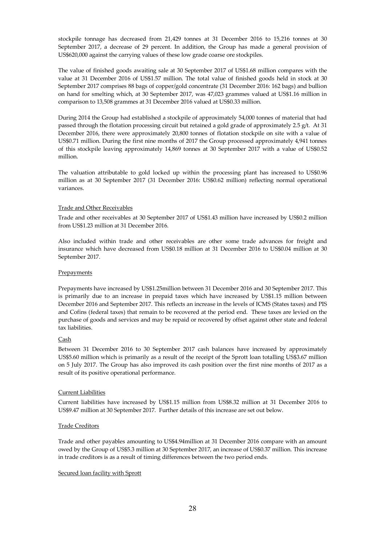stockpile tonnage has decreased from 21,429 tonnes at 31 December 2016 to 15,216 tonnes at 30 September 2017, a decrease of 29 percent. In addition, the Group has made a general provision of US\$620,000 against the carrying values of these low grade coarse ore stockpiles.

The value of finished goods awaiting sale at 30 September 2017 of US\$1.68 million compares with the value at 31 December 2016 of US\$1.57 million. The total value of finished goods held in stock at 30 September 2017 comprises 88 bags of copper/gold concentrate (31 December 2016: 162 bags) and bullion on hand for smelting which, at 30 September 2017, was 47,023 grammes valued at US\$1.16 million in comparison to 13,508 grammes at 31 December 2016 valued at US\$0.33 million.

During 2014 the Group had established a stockpile of approximately 54,000 tonnes of material that had passed through the flotation processing circuit but retained a gold grade of approximately 2.5 g/t. At 31 December 2016, there were approximately 20,800 tonnes of flotation stockpile on site with a value of US\$0.71 million. During the first nine months of 2017 the Group processed approximately 4,941 tonnes of this stockpile leaving approximately 14,869 tonnes at 30 September 2017 with a value of US\$0.52 million.

The valuation attributable to gold locked up within the processing plant has increased to US\$0.96 million as at 30 September 2017 (31 December 2016: US\$0.62 million) reflecting normal operational variances.

## Trade and Other Receivables

Trade and other receivables at 30 September 2017 of US\$1.43 million have increased by US\$0.2 million from US\$1.23 million at 31 December 2016.

Also included within trade and other receivables are other some trade advances for freight and insurance which have decreased from US\$0.18 million at 31 December 2016 to US\$0.04 million at 30 September 2017.

## **Prepayments**

Prepayments have increased by US\$1.25million between 31 December 2016 and 30 September 2017. This is primarily due to an increase in prepaid taxes which have increased by US\$1.15 million between December 2016 and September 2017. This reflects an increase in the levels of ICMS (States taxes) and PIS and Cofins (federal taxes) that remain to be recovered at the period end. These taxes are levied on the purchase of goods and services and may be repaid or recovered by offset against other state and federal tax liabilities.

## Cash

Between 31 December 2016 to 30 September 2017 cash balances have increased by approximately US\$5.60 million which is primarily as a result of the receipt of the Sprott loan totalling US\$3.67 million on 5 July 2017. The Group has also improved its cash position over the first nine months of 2017 as a result of its positive operational performance.

## Current Liabilities

Current liabilities have increased by US\$1.15 million from US\$8.32 million at 31 December 2016 to US\$9.47 million at 30 September 2017. Further details of this increase are set out below.

## Trade Creditors

Trade and other payables amounting to US\$4.94million at 31 December 2016 compare with an amount owed by the Group of US\$5.3 million at 30 September 2017, an increase of US\$0.37 million. This increase in trade creditors is as a result of timing differences between the two period ends.

## Secured loan facility with Sprott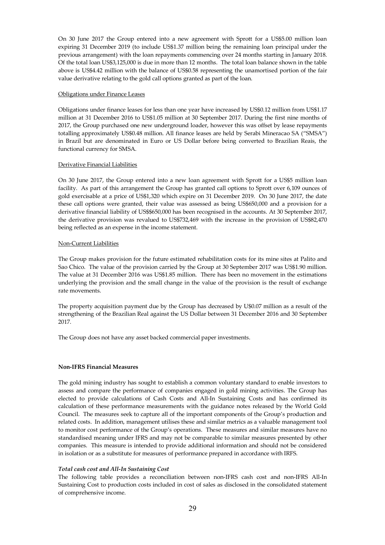On 30 June 2017 the Group entered into a new agreement with Sprott for a US\$5.00 million loan expiring 31 December 2019 (to include US\$1.37 million being the remaining loan principal under the previous arrangement) with the loan repayments commencing over 24 months starting in January 2018. Of the total loan US\$3,125,000 is due in more than 12 months. The total loan balance shown in the table above is US\$4.42 million with the balance of US\$0.58 representing the unamortised portion of the fair value derivative relating to the gold call options granted as part of the loan.

## Obligations under Finance Leases

Obligations under finance leases for less than one year have increased by US\$0.12 million from US\$1.17 million at 31 December 2016 to US\$1.05 million at 30 September 2017. During the first nine months of 2017, the Group purchased one new underground loader, however this was offset by lease repayments totalling approximately US\$0.48 million. All finance leases are held by Serabi Mineracao SA ("SMSA") in Brazil but are denominated in Euro or US Dollar before being converted to Brazilian Reais, the functional currency for SMSA.

## Derivative Financial Liabilities

On 30 June 2017, the Group entered into a new loan agreement with Sprott for a US\$5 million loan facility. As part of this arrangement the Group has granted call options to Sprott over 6,109 ounces of gold exercisable at a price of US\$1,320 which expire on 31 December 2019. On 30 June 2017, the date these call options were granted, their value was assessed as being US\$650,000 and a provision for a derivative financial liability of US\$\$650,000 has been recognised in the accounts. At 30 September 2017, the derivative provision was revalued to US\$732,469 with the increase in the provision of US\$82,470 being reflected as an expense in the income statement.

#### Non-Current Liabilities

The Group makes provision for the future estimated rehabilitation costs for its mine sites at Palito and Sao Chico. The value of the provision carried by the Group at 30 September 2017 was US\$1.90 million. The value at 31 December 2016 was US\$1.85 million. There has been no movement in the estimations underlying the provision and the small change in the value of the provision is the result of exchange rate movements.

The property acquisition payment due by the Group has decreased by U\$0.07 million as a result of the strengthening of the Brazilian Real against the US Dollar between 31 December 2016 and 30 September 2017.

The Group does not have any asset backed commercial paper investments.

## **Non-IFRS Financial Measures**

The gold mining industry has sought to establish a common voluntary standard to enable investors to assess and compare the performance of companies engaged in gold mining activities. The Group has elected to provide calculations of Cash Costs and All-In Sustaining Costs and has confirmed its calculation of these performance measurements with the guidance notes released by the World Gold Council. The measures seek to capture all of the important components of the Group's production and related costs. In addition, management utilises these and similar metrics as a valuable management tool to monitor cost performance of the Group's operations. These measures and similar measures have no standardised meaning under IFRS and may not be comparable to similar measures presented by other companies. This measure is intended to provide additional information and should not be considered in isolation or as a substitute for measures of performance prepared in accordance with IRFS.

## *Total cash cost and All-In Sustaining Cost*

The following table provides a reconciliation between non-IFRS cash cost and non-IFRS All-In Sustaining Cost to production costs included in cost of sales as disclosed in the consolidated statement of comprehensive income.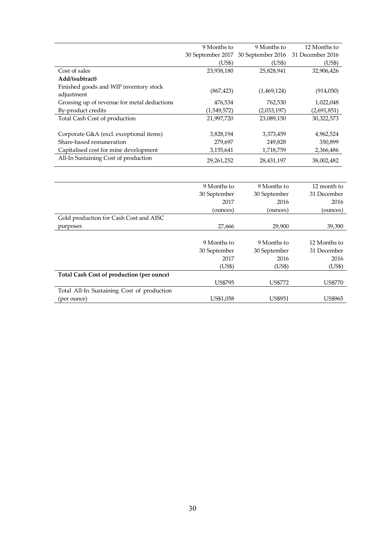|                                                      | 9 Months to       | 9 Months to       | 12 Months to     |
|------------------------------------------------------|-------------------|-------------------|------------------|
|                                                      | 30 September 2017 | 30 September 2016 | 31 December 2016 |
|                                                      | (US\$)            | (US\$)            | (US\$)           |
| Cost of sales                                        | 23,938,180        | 25,828,941        | 32,906,426       |
| Add/(subtract)                                       |                   |                   |                  |
| Finished goods and WIP inventory stock<br>adjustment | (867, 423)        | (1,469,124)       | (914,050)        |
| Grossing up of revenue for metal deductions          | 476,534           | 762,530           | 1,022,048        |
| By-product credits                                   | (1,549,572)       | (2,033,197)       | (2,691,851)      |
| Total Cash Cost of production                        | 21,997,720        | 23,089,150        | 30,322,573       |
| Corporate G&A (excl. exceptional items)              | 3,828,194         | 3,373,459         | 4,962,524        |
| Share-based remuneration                             | 279,697           | 249,828           | 350,899          |
| Capitalised cost for mine development                | 3,155,641         | 1,718,759         | 2,366,486        |
| All-In Sustaining Cost of production                 | 29,261,252        | 28,431,197        | 38,002,482       |
|                                                      |                   |                   |                  |
|                                                      | 9 Months to       | 9 Months to       | 12 month to      |
|                                                      | 30 September      | 30 September      | 31 December      |

|                                            | 30 September   | 30 September   | 31 December    |
|--------------------------------------------|----------------|----------------|----------------|
|                                            | 2017           | 2016           | 2016           |
|                                            | (ounces)       | (ounces)       | (ounces)       |
| Gold production for Cash Cost and AISC     |                |                |                |
| purposes                                   | 27,666         | 29,900         | 39,390         |
|                                            |                |                |                |
|                                            | 9 Months to    | 9 Months to    | 12 Months to   |
|                                            | 30 September   | 30 September   | 31 December    |
|                                            | 2017           | 2016           | 2016           |
|                                            | (US\$)         | (US\$)         | (US\$)         |
| Total Cash Cost of production (per ounce)  |                |                |                |
|                                            | <b>US\$795</b> | <b>US\$772</b> | <b>US\$770</b> |
| Total All-In Sustaining Cost of production |                |                |                |
| (per ounce)                                | US\$1,058      | <b>US\$951</b> | <b>US\$965</b> |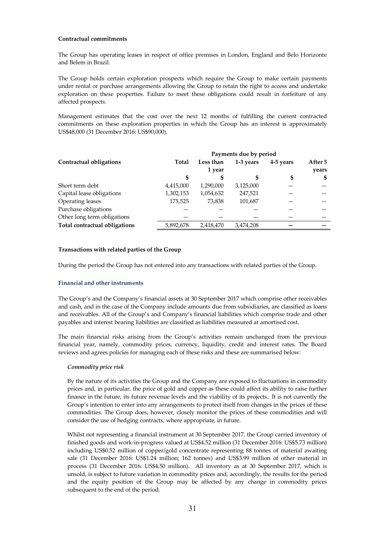## **Contractual commitments**

The Group has operating leases in respect of office premises in London, England and Belo Horizonte and Belem in Brazil.

The Group holds certain exploration prospects which require the Group to make certain payments under rental or purchase arrangements allowing the Group to retain the right to access and undertake exploration on these properties. Failure to meet these obligations could result in forfeiture of any affected prospects.

Management estimates that the cost over the next 12 months of fulfilling the current contracted commitments on these exploration properties in which the Group has an interest is approximately US\$48,000 (31 December 2016: US\$90,000).

|                               | Payments due by period |           |           |           |         |
|-------------------------------|------------------------|-----------|-----------|-----------|---------|
| Contractual obligations       | Total                  | Less than | 1-3 years | 4-5 years | After 5 |
|                               |                        | 1 year    |           |           | years   |
|                               | \$                     | S         | \$        | \$        | \$      |
| Short term debt               | 4,415,000              | 1,290,000 | 3,125,000 |           |         |
| Capital lease obligations     | 1,302,153              | 1,054,632 | 247,521   |           |         |
| <b>Operating leases</b>       | 175,525                | 73,838    | 101,687   |           |         |
| Purchase obligations          |                        |           |           |           |         |
| Other long term obligations   |                        |           |           |           |         |
| Total contractual obligations | 5,892,678              | 2,418,470 | 3,474,208 |           |         |

## **Transactions with related parties of the Group**

During the period the Group has not entered into any transactions with related parties of the Group.

## **Financial and other instruments**

The Group's and the Company's financial assets at 30 September 2017 which comprise other receivables and cash, and in the case of the Company include amounts due from subsidiaries, are classified as loans and receivables. All of the Group's and Company's financial liabilities which comprise trade and other payables and interest bearing liabilities are classified as liabilities measured at amortised cost.

The main financial risks arising from the Group's activities remain unchanged from the previous financial year, namely, commodity prices, currency, liquidity, credit and interest rates. The Board reviews and agrees policies for managing each of these risks and these are summarised below:

## *Commodity price risk*

By the nature of its activities the Group and the Company are exposed to fluctuations in commodity prices and, in particular, the price of gold and copper as these could affect its ability to raise further finance in the future, its future revenue levels and the viability of its projects. It is not currently the Group's intention to enter into any arrangements to protect itself from changes in the prices of these commodities. The Group does, however, closely monitor the prices of these commodities and will consider the use of hedging contracts, where appropriate, in future.

Whilst not representing a financial instrument at 30 September 2017, the Group carried inventory of finished goods and work-in-progress valued at US\$4.52 million (31 December 2016: US\$5.73 million) including US\$0.52 million of copper/gold concentrate representing 88 tonnes of material awaiting sale (31 December 2016: US\$1.24 million; 162 tonnes) and US\$3.99 million of other material in process (31 December 2016: US\$4.50 million). All inventory as at 30 September 2017, which is unsold, is subject to future variation in commodity prices and, accordingly, the results for the period and the equity position of the Group may be affected by any change in commodity prices subsequent to the end of the period.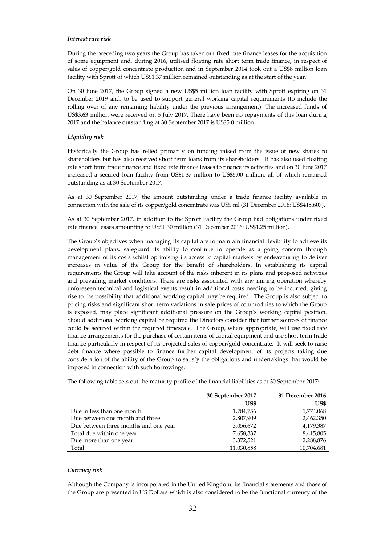## *Interest rate risk*

During the preceding two years the Group has taken out fixed rate finance leases for the acquisition of some equipment and, during 2016, utilised floating rate short term trade finance, in respect of sales of copper/gold concentrate production and in September 2014 took out a US\$8 million loan facility with Sprott of which US\$1.37 million remained outstanding as at the start of the year.

On 30 June 2017, the Group signed a new US\$5 million loan facility with Sprott expiring on 31 December 2019 and, to be used to support general working capital requirements (to include the rolling over of any remaining liability under the previous arrangement). The increased funds of US\$3.63 million were received on 5 July 2017. There have been no repayments of this loan during 2017 and the balance outstanding at 30 September 2017 is US\$5.0 million.

## *Liquidity risk*

Historically the Group has relied primarily on funding raised from the issue of new shares to shareholders but has also received short term loans from its shareholders. It has also used floating rate short term trade finance and fixed rate finance leases to finance its activities and on 30 June 2017 increased a secured loan facility from US\$1.37 million to US\$5.00 million, all of which remained outstanding as at 30 September 2017.

As at 30 September 2017, the amount outstanding under a trade finance facility available in connection with the sale of its copper/gold concentrate was US\$ nil (31 December 2016: US\$415,607).

As at 30 September 2017, in addition to the Sprott Facility the Group had obligations under fixed rate finance leases amounting to US\$1.30 million (31 December 2016: US\$1.25 million).

The Group's objectives when managing its capital are to maintain financial flexibility to achieve its development plans, safeguard its ability to continue to operate as a going concern through management of its costs whilst optimising its access to capital markets by endeavouring to deliver increases in value of the Group for the benefit of shareholders. In establishing its capital requirements the Group will take account of the risks inherent in its plans and proposed activities and prevailing market conditions. There are risks associated with any mining operation whereby unforeseen technical and logistical events result in additional costs needing to be incurred, giving rise to the possibility that additional working capital may be required. The Group is also subject to pricing risks and significant short term variations in sale prices of commodities to which the Group is exposed, may place significant additional pressure on the Group's working capital position. Should additional working capital be required the Directors consider that further sources of finance could be secured within the required timescale. The Group, where appropriate, will use fixed rate finance arrangements for the purchase of certain items of capital equipment and use short term trade finance particularly in respect of its projected sales of copper/gold concentrate. It will seek to raise debt finance where possible to finance further capital development of its projects taking due consideration of the ability of the Group to satisfy the obligations and undertakings that would be imposed in connection with such borrowings.

The following table sets out the maturity profile of the financial liabilities as at 30 September 2017:

|                                       | 30 September 2017 | 31 December 2016 |
|---------------------------------------|-------------------|------------------|
|                                       | US\$              | US\$             |
| Due in less than one month            | 1,784,756         | 1,774,068        |
| Due between one month and three       | 2,807,909         | 2,462,350        |
| Due between three months and one year | 3,056,672         | 4,179,387        |
| Total due within one year             | 7,658,337         | 8,415,805        |
| Due more than one year                | 3,372,521         | 2,288,876        |
| Total                                 | 11,030,858        | 10,704,681       |

#### *Currency risk*

Although the Company is incorporated in the United Kingdom, its financial statements and those of the Group are presented in US Dollars which is also considered to be the functional currency of the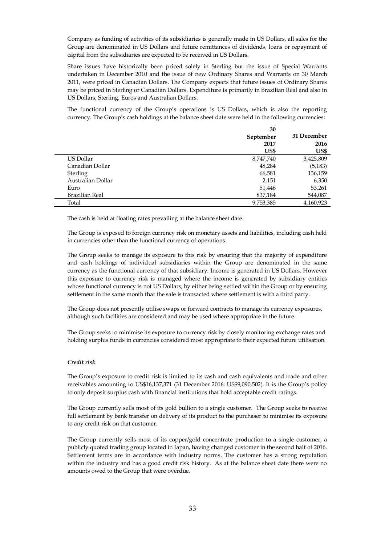Company as funding of activities of its subsidiaries is generally made in US Dollars, all sales for the Group are denominated in US Dollars and future remittances of dividends, loans or repayment of capital from the subsidiaries are expected to be received in US Dollars.

Share issues have historically been priced solely in Sterling but the issue of Special Warrants undertaken in December 2010 and the issue of new Ordinary Shares and Warrants on 30 March 2011, were priced in Canadian Dollars. The Company expects that future issues of Ordinary Shares may be priced in Sterling or Canadian Dollars. Expenditure is primarily in Brazilian Real and also in US Dollars, Sterling, Euros and Australian Dollars.

The functional currency of the Group's operations is US Dollars, which is also the reporting currency. The Group's cash holdings at the balance sheet date were held in the following currencies:

|                   | 30        |             |
|-------------------|-----------|-------------|
|                   | September | 31 December |
|                   | 2017      | 2016        |
|                   | US\$      | US\$        |
| US Dollar         | 8,747,740 | 3,425,809   |
| Canadian Dollar   | 48,284    | (5, 183)    |
| Sterling          | 66,581    | 136,159     |
| Australian Dollar | 2,151     | 6,350       |
| Euro              | 51,446    | 53,261      |
| Brazilian Real    | 837,184   | 544,087     |
| Total             | 9,753,385 | 4,160,923   |

The cash is held at floating rates prevailing at the balance sheet date.

The Group is exposed to foreign currency risk on monetary assets and liabilities, including cash held in currencies other than the functional currency of operations.

The Group seeks to manage its exposure to this risk by ensuring that the majority of expenditure and cash holdings of individual subsidiaries within the Group are denominated in the same currency as the functional currency of that subsidiary. Income is generated in US Dollars. However this exposure to currency risk is managed where the income is generated by subsidiary entities whose functional currency is not US Dollars, by either being settled within the Group or by ensuring settlement in the same month that the sale is transacted where settlement is with a third party.

The Group does not presently utilise swaps or forward contracts to manage its currency exposures, although such facilities are considered and may be used where appropriate in the future.

The Group seeks to minimise its exposure to currency risk by closely monitoring exchange rates and holding surplus funds in currencies considered most appropriate to their expected future utilisation.

## *Credit risk*

The Group's exposure to credit risk is limited to its cash and cash equivalents and trade and other receivables amounting to US\$16,137,371 (31 December 2016: US\$9,090,502). It is the Group's policy to only deposit surplus cash with financial institutions that hold acceptable credit ratings.

The Group currently sells most of its gold bullion to a single customer. The Group seeks to receive full settlement by bank transfer on delivery of its product to the purchaser to minimise its exposure to any credit risk on that customer.

The Group currently sells most of its copper/gold concentrate production to a single customer, a publicly quoted trading group located in Japan, having changed customer in the second half of 2016. Settlement terms are in accordance with industry norms. The customer has a strong reputation within the industry and has a good credit risk history. As at the balance sheet date there were no amounts owed to the Group that were overdue.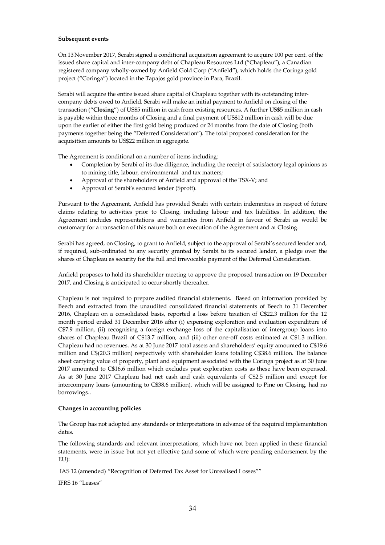## **Subsequent events**

On 13November 2017, Serabi signed a conditional acquisition agreement to acquire 100 per cent. of the issued share capital and inter-company debt of Chapleau Resources Ltd ("Chapleau"), a Canadian registered company wholly-owned by Anfield Gold Corp ("Anfield"), which holds the Coringa gold project ("Coringa") located in the Tapajos gold province in Para, Brazil.

Serabi will acquire the entire issued share capital of Chapleau together with its outstanding intercompany debts owed to Anfield. Serabi will make an initial payment to Anfield on closing of the transaction ("**Closing**") of US\$5 million in cash from existing resources. A further US\$5 million in cash is payable within three months of Closing and a final payment of US\$12 million in cash will be due upon the earlier of either the first gold being produced or 24 months from the date of Closing (both payments together being the "Deferred Consideration"). The total proposed consideration for the acquisition amounts to US\$22 million in aggregate.

The Agreement is conditional on a number of items including*:*

- Completion by Serabi of its due diligence, including the receipt of satisfactory legal opinions as to mining title, labour, environmental and tax matters;
- Approval of the shareholders of Anfield and approval of the TSX-V; and
- Approval of Serabi's secured lender (Sprott).

Pursuant to the Agreement, Anfield has provided Serabi with certain indemnities in respect of future claims relating to activities prior to Closing, including labour and tax liabilities. In addition, the Agreement includes representations and warranties from Anfield in favour of Serabi as would be customary for a transaction of this nature both on execution of the Agreement and at Closing.

Serabi has agreed, on Closing, to grant to Anfield, subject to the approval of Serabi's secured lender and, if required, sub-ordinated to any security granted by Serabi to its secured lender, a pledge over the shares of Chapleau as security for the full and irrevocable payment of the Deferred Consideration.

Anfield proposes to hold its shareholder meeting to approve the proposed transaction on 19 December 2017, and Closing is anticipated to occur shortly thereafter.

Chapleau is not required to prepare audited financial statements. Based on information provided by Beech and extracted from the unaudited consolidated financial statements of Beech to 31 December 2016, Chapleau on a consolidated basis, reported a loss before taxation of C\$22.3 million for the 12 month period ended 31 December 2016 after (i) expensing exploration and evaluation expenditure of C\$7.9 million, (ii) recognising a foreign exchange loss of the capitalisation of intergroup loans into shares of Chapleau Brazil of C\$13.7 million, and (iii) other one-off costs estimated at C\$1.3 million. Chapleau had no revenues. As at 30 June 2017 total assets and shareholders' equity amounted to C\$19.6 million and C\$(20.3 million) respectively with shareholder loans totalling C\$38.6 million. The balance sheet carrying value of property, plant and equipment associated with the Coringa project as at 30 June 2017 amounted to C\$16.6 million which excludes past exploration costs as these have been expensed. As at 30 June 2017 Chapleau had net cash and cash equivalents of C\$2.5 million and except for intercompany loans (amounting to C\$38.6 million), which will be assigned to Pine on Closing, had no borrowings..

## **Changes in accounting policies**

The Group has not adopted any standards or interpretations in advance of the required implementation dates.

The following standards and relevant interpretations, which have not been applied in these financial statements, were in issue but not yet effective (and some of which were pending endorsement by the EU):

IAS 12 (amended) "Recognition of Deferred Tax Asset for Unrealised Losses""

IFRS 16 "Leases"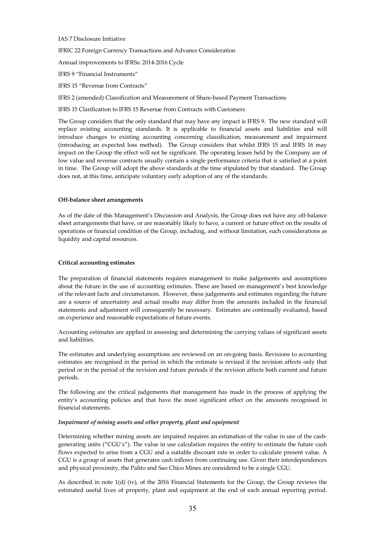## IAS 7 Disclosure Initiative

lFRIC 22 Foreign Currency Transactions and Advance Consideration

Annual improvements to IFRSs: 2014-2016 Cycle

lFRS 9 "Financial Instruments"

lFRS 15 "Revenue from Contracts"

lFRS 2 (amended) Classification and Measurement of Share-based Payment Transactions

lFRS 15 Clarification to IFRS 15 Revenue from Contracts with Customers

The Group considers that the only standard that may have any impact is IFRS 9. The new standard will replace existing accounting standards. It is applicable to financial assets and liabilities and will introduce changes to existing accounting concerning classification, measurement and impairment (introducing an expected loss method). The Group considers that whilst IFRS 15 and IFRS 16 may impact on the Group the effect will not be significant. The operating leases held by the Company are of low value and revenue contracts usually contain a single performance criteria that is satisfied at a point in time. The Group will adopt the above standards at the time stipulated by that standard. The Group does not, at this time, anticipate voluntary early adoption of any of the standards.

#### **Off-balance sheet arrangements**

As of the date of this Management's Discussion and Analysis, the Group does not have any off-balance sheet arrangements that have, or are reasonably likely to have, a current or future effect on the results of operations or financial condition of the Group, including, and without limitation, such considerations as liquidity and capital resources.

## **Critical accounting estimates**

The preparation of financial statements requires management to make judgements and assumptions about the future in the use of accounting estimates. These are based on management's best knowledge of the relevant facts and circumstances. However, these judgements and estimates regarding the future are a source of uncertainty and actual results may differ from the amounts included in the financial statements and adjustment will consequently be necessary. Estimates are continually evaluated, based on experience and reasonable expectations of future events.

Accounting estimates are applied in assessing and determining the carrying values of significant assets and liabilities.

The estimates and underlying assumptions are reviewed on an on-going basis. Revisions to accounting estimates are recognised in the period in which the estimate is revised if the revision affects only that period or in the period of the revision and future periods if the revision affects both current and future periods.

The following are the critical judgements that management has made in the process of applying the entity's accounting policies and that have the most significant effect on the amounts recognised in financial statements.

## *Impairment of mining assets and other property, plant and equipment*

Determining whether mining assets are impaired requires an estimation of the value in use of the cashgenerating units ("CGU's"). The value in use calculation requires the entity to estimate the future cash flows expected to arise from a CGU and a suitable discount rate in order to calculate present value. A CGU is a group of assets that generates cash inflows from continuing use. Given their interdependences and physical proximity, the Palito and Sao Chico Mines are considered to be a single CGU.

As described in note 1(d) (iv), of the 2016 Financial Statements for the Group, the Group reviews the estimated useful lives of property, plant and equipment at the end of each annual reporting period.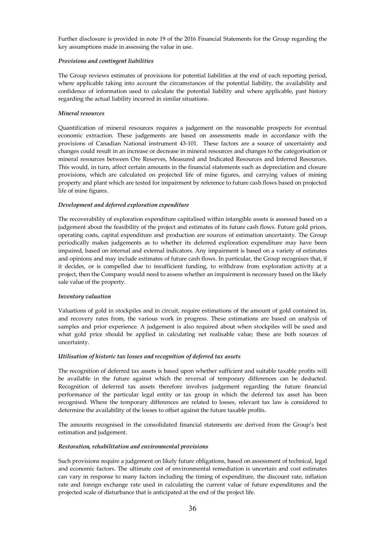Further disclosure is provided in note 19 of the 2016 Financial Statements for the Group regarding the key assumptions made in assessing the value in use.

## *Provisions and contingent liabilities*

The Group reviews estimates of provisions for potential liabilities at the end of each reporting period, where applicable taking into account the circumstances of the potential liability, the availability and confidence of information used to calculate the potential liability and where applicable, past history regarding the actual liability incurred in similar situations.

## *Mineral resources*

Quantification of mineral resources requires a judgement on the reasonable prospects for eventual economic extraction. These judgements are based on assessments made in accordance with the provisions of Canadian National instrument 43-101. These factors are a source of uncertainty and changes could result in an increase or decrease in mineral resources and changes to the categorisation or mineral resources between Ore Reserves, Measured and Indicated Resources and Inferred Resources. This would, in turn, affect certain amounts in the financial statements such as depreciation and closure provisions, which are calculated on projected life of mine figures, and carrying values of mining property and plant which are tested for impairment by reference to future cash flows based on projected life of mine figures.

## *Development and deferred exploration expenditure*

The recoverability of exploration expenditure capitalised within intangible assets is assessed based on a judgement about the feasibility of the project and estimates of its future cash flows. Future gold prices, operating costs, capital expenditure and production are sources of estimation uncertainty. The Group periodically makes judgements as to whether its deferred exploration expenditure may have been impaired, based on internal and external indicators. Any impairment is based on a variety of estimates and opinions and may include estimates of future cash flows. In particular, the Group recognises that, if it decides, or is compelled due to insufficient funding, to withdraw from exploration activity at a project, then the Company would need to assess whether an impairment is necessary based on the likely sale value of the property.

# *Inventory valuation*

Valuations of gold in stockpiles and in circuit, require estimations of the amount of gold contained in, and recovery rates from, the various work in progress. These estimations are based on analysis of samples and prior experience. A judgement is also required about when stockpiles will be used and what gold price should be applied in calculating net realisable value; these are both sources of uncertainty.

## *Utilisation of historic tax losses and recognition of deferred tax assets*

The recognition of deferred tax assets is based upon whether sufficient and suitable taxable profits will be available in the future against which the reversal of temporary differences can be deducted. Recognition of deferred tax assets therefore involves judgement regarding the future financial performance of the particular legal entity or tax group in which the deferred tax asset has been recognised. Where the temporary differences are related to losses, relevant tax law is considered to determine the availability of the losses to offset against the future taxable profits.

The amounts recognised in the consolidated financial statements are derived from the Group's best estimation and judgement.

## *Restoration, rehabilitation and environmental provisions*

Such provisions require a judgement on likely future obligations, based on assessment of technical, legal and economic factors. The ultimate cost of environmental remediation is uncertain and cost estimates can vary in response to many factors including the timing of expenditure, the discount rate, inflation rate and foreign exchange rate used in calculating the current value of future expenditures and the projected scale of disturbance that is anticipated at the end of the project life.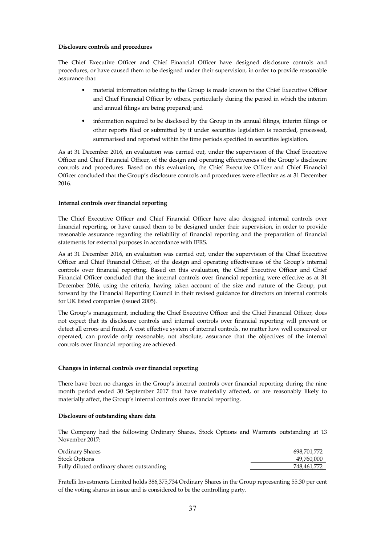## **Disclosure controls and procedures**

The Chief Executive Officer and Chief Financial Officer have designed disclosure controls and procedures, or have caused them to be designed under their supervision, in order to provide reasonable assurance that:

- material information relating to the Group is made known to the Chief Executive Officer and Chief Financial Officer by others, particularly during the period in which the interim and annual filings are being prepared; and
- information required to be disclosed by the Group in its annual filings, interim filings or other reports filed or submitted by it under securities legislation is recorded, processed, summarised and reported within the time periods specified in securities legislation.

As at 31 December 2016, an evaluation was carried out, under the supervision of the Chief Executive Officer and Chief Financial Officer, of the design and operating effectiveness of the Group's disclosure controls and procedures. Based on this evaluation, the Chief Executive Officer and Chief Financial Officer concluded that the Group's disclosure controls and procedures were effective as at 31 December 2016.

## **Internal controls over financial reporting**

The Chief Executive Officer and Chief Financial Officer have also designed internal controls over financial reporting, or have caused them to be designed under their supervision, in order to provide reasonable assurance regarding the reliability of financial reporting and the preparation of financial statements for external purposes in accordance with IFRS.

As at 31 December 2016, an evaluation was carried out, under the supervision of the Chief Executive Officer and Chief Financial Officer, of the design and operating effectiveness of the Group's internal controls over financial reporting. Based on this evaluation, the Chief Executive Officer and Chief Financial Officer concluded that the internal controls over financial reporting were effective as at 31 December 2016, using the criteria, having taken account of the size and nature of the Group, put forward by the Financial Reporting Council in their revised guidance for directors on internal controls for UK listed companies (issued 2005).

The Group's management, including the Chief Executive Officer and the Chief Financial Officer, does not expect that its disclosure controls and internal controls over financial reporting will prevent or detect all errors and fraud. A cost effective system of internal controls, no matter how well conceived or operated, can provide only reasonable, not absolute, assurance that the objectives of the internal controls over financial reporting are achieved.

## **Changes in internal controls over financial reporting**

There have been no changes in the Group's internal controls over financial reporting during the nine month period ended 30 September 2017 that have materially affected, or are reasonably likely to materially affect, the Group's internal controls over financial reporting.

## **Disclosure of outstanding share data**

The Company had the following Ordinary Shares, Stock Options and Warrants outstanding at 13 November 2017:

| Ordinary Shares                           | 698.701.772 |
|-------------------------------------------|-------------|
| <b>Stock Options</b>                      | 49,760,000  |
| Fully diluted ordinary shares outstanding | 748.461.772 |

Fratelli Investments Limited holds 386,375,734 Ordinary Shares in the Group representing 55.30 per cent of the voting shares in issue and is considered to be the controlling party.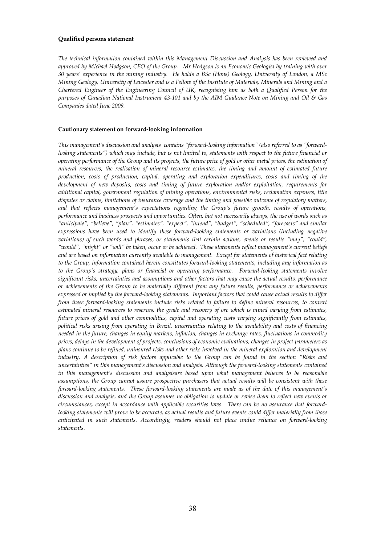#### **Qualified persons statement**

*The technical information contained within this Management Discussion and Analysis has been reviewed and approved by Michael Hodgson, CEO of the Group. Mr Hodgson is an Economic Geologist by training with over 30 years' experience in the mining industry. He holds a BSc (Hons) Geology, University of London, a MSc Mining Geology, University of Leicester and is a Fellow of the Institute of Materials, Minerals and Mining and a Chartered Engineer of the Engineering Council of UK, recognising him as both a Qualified Person for the purposes of Canadian National Instrument 43-101 and by the AIM Guidance Note on Mining and Oil & Gas Companies dated June 2009.* 

## **Cautionary statement on forward-looking information**

*This management's discussion and analysis contains "forward-looking information" (also referred to as "forwardlooking statements"*) which may include, but is not limited to, statements with respect to the future financial or *operating performance of the Group and its projects, the future price of gold or other metal prices, the estimation of mineral resources, the realisation of mineral resource estimates, the timing and amount of estimated future production, costs of production, capital, operating and exploration expenditures, costs and timing of the development of new deposits, costs and timing of future exploration and/or exploitation, requirements for additional capital, government regulation of mining operations, environmental risks, reclamation expenses, title disputes or claims, limitations of insurance coverage and the timing and possible outcome of regulatory matters, and that reflects management's expectations regarding the Group's future growth, results of operations, performance and business prospects and opportunities. Often, but not necessarily always, the use of words such as "anticipate", "believe", "plan", "estimates", "expect", "intend", "budget", "scheduled", "forecasts" and similar expressions have been used to identify these forward-looking statements or variations (including negative variations) of such words and phrases, or statements that certain actions, events or results "may", "could", "would", "might" or "will" be taken, occur or be achieved. These statements reflect management's current beliefs and are based on information currently available to management. Except for statements of historical fact relating to the Group, information contained herein constitutes forward-looking statements, including any information as to the Group's strategy, plans or financial or operating performance. Forward-looking statements involve significant risks, uncertainties and assumptions and other factors that may cause the actual results, performance or achievements of the Group to be materially different from any future results, performance or achievements expressed or implied by the forward-looking statements. Important factors that could cause actual results to differ from these forward-looking statements include risks related to failure to define mineral resources, to convert estimated mineral resources to reserves, the grade and recovery of ore which is mined varying from estimates, future prices of gold and other commodities, capital and operating costs varying significantly from estimates, political risks arising from operating in Brazil, uncertainties relating to the availability and costs of financing needed in the future, changes in equity markets, inflation, changes in exchange rates, fluctuations in commodity prices, delays in the development of projects, conclusions of economic evaluations, changes in project parameters as plans continue to be refined, uninsured risks and other risks involved in the mineral exploration and development industry. A description of risk factors applicable to the Group can be found in the section "Risks and uncertainties" in this management's discussion and analysis. Although the forward-looking statements contained in this management's discussion and analysisare based upon what management believes to be reasonable assumptions, the Group cannot assure prospective purchasers that actual results will be consistent with these forward-looking statements. These forward-looking statements are made as of the date of this management's discussion and analysis, and the Group assumes no obligation to update or revise them to reflect new events or circumstances, except in accordance with applicable securities laws. There can be no assurance that forwardlooking statements will prove to be accurate, as actual results and future events could differ materially from those anticipated in such statements. Accordingly, readers should not place undue reliance on forward-looking statements.*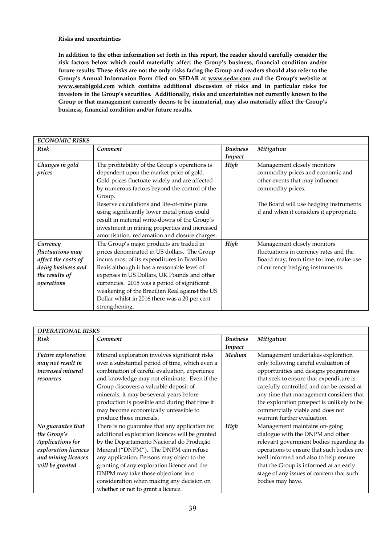**Risks and uncertainties** 

**In addition to the other information set forth in this report, the reader should carefully consider the risk factors below which could materially affect the Group's business, financial condition and/or future results. These risks are not the only risks facing the Group and readers should also refer to the Group's Annual Information Form filed on SEDAR at www.sedar.com and the Group's website at www.serabigold.com which contains additional discussion of risks and in particular risks for investors in the Group's securities. Additionally, risks and uncertainties not currently known to the Group or that management currently deems to be immaterial, may also materially affect the Group's business, financial condition and/or future results.** 

| <b>ECONOMIC RISKS</b> |                                                |                 |                                          |
|-----------------------|------------------------------------------------|-----------------|------------------------------------------|
| <b>Risk</b>           | Comment                                        | <b>Business</b> | Mitigation                               |
|                       |                                                | Impact          |                                          |
| Changes in gold       | The profitability of the Group's operations is | High            | Management closely monitors              |
| prices                | dependent upon the market price of gold.       |                 | commodity prices and economic and        |
|                       | Gold prices fluctuate widely and are affected  |                 | other events that may influence          |
|                       | by numerous factors beyond the control of the  |                 | commodity prices.                        |
|                       | Group.                                         |                 |                                          |
|                       | Reserve calculations and life-of-mine plans    |                 | The Board will use hedging instruments   |
|                       | using significantly lower metal prices could   |                 | if and when it considers it appropriate. |
|                       | result in material write-downs of the Group's  |                 |                                          |
|                       | investment in mining properties and increased  |                 |                                          |
|                       | amortisation, reclamation and closure charges. |                 |                                          |
| Currency              | The Group's major products are traded in       | High            | Management closely monitors              |
| fluctuations may      | prices denominated in US dollars. The Group    |                 | fluctuations in currency rates and the   |
| affect the costs of   | incurs most of its expenditures in Brazilian   |                 | Board may, from time to time, make use   |
| doing business and    | Reais although it has a reasonable level of    |                 | of currency hedging instruments.         |
| the results of        | expenses in US Dollars, UK Pounds and other    |                 |                                          |
| operations            | currencies. 2015 was a period of significant   |                 |                                          |
|                       | weakening of the Brazilian Real against the US |                 |                                          |
|                       | Dollar whilst in 2016 there was a 20 per cent  |                 |                                          |
|                       | strengthening.                                 |                 |                                          |

| <b>OPERATIONAL RISKS</b> |                                                 |                 |                                            |  |
|--------------------------|-------------------------------------------------|-----------------|--------------------------------------------|--|
| <b>Risk</b>              | Comment                                         | <b>Business</b> | Mitigation                                 |  |
|                          |                                                 | Impact          |                                            |  |
| Future exploration       | Mineral exploration involves significant risks  | Medium          | Management undertakes exploration          |  |
| may not result in        | over a substantial period of time, which even a |                 | only following careful evaluation of       |  |
| <i>increased mineral</i> | combination of careful evaluation, experience   |                 | opportunities and designs programmes       |  |
| resources                | and knowledge may not eliminate. Even if the    |                 | that seek to ensure that expenditure is    |  |
|                          | Group discovers a valuable deposit of           |                 | carefully controlled and can be ceased at  |  |
|                          | minerals, it may be several years before        |                 | any time that management considers that    |  |
|                          | production is possible and during that time it  |                 | the exploration prospect is unlikely to be |  |
|                          | may become economically unfeasible to           |                 | commercially viable and does not           |  |
|                          | produce those minerals.                         |                 | warrant further evaluation.                |  |
| No guarantee that        | There is no guarantee that any application for  | High            | Management maintains on-going              |  |
| the Group's              | additional exploration licences will be granted |                 | dialogue with the DNPM and other           |  |
| Applications for         | by the Departamento Nacional do Produção        |                 | relevant government bodies regarding its   |  |
| exploration licences     | Mineral ("DNPM"). The DNPM can refuse           |                 | operations to ensure that such bodies are  |  |
| and mining licences      | any application. Persons may object to the      |                 | well informed and also to help ensure      |  |
| will be granted          | granting of any exploration licence and the     |                 | that the Group is informed at an early     |  |
|                          | DNPM may take those objections into             |                 | stage of any issues of concern that such   |  |
|                          | consideration when making any decision on       |                 | bodies may have.                           |  |
|                          | whether or not to grant a licence.              |                 |                                            |  |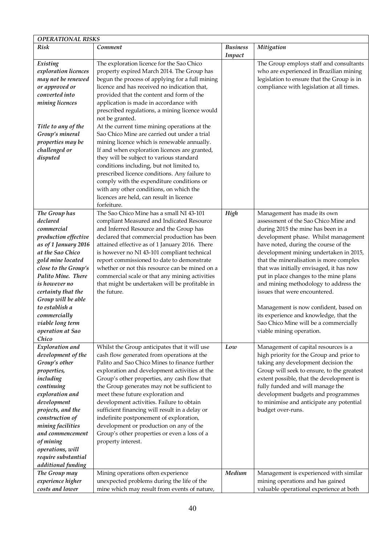| <b>OPERATIONAL RISKS</b>                                                                                                                                                                                                                                                                                                       |                                                                                                                                                                                                                                                                                                                                                                                                                                                                                                                                                                                                                                                                                                                                                                                                                                                     |                           |                                                                                                                                                                                                                                                                                                                                                                                                                                                                                                                                                                                                        |
|--------------------------------------------------------------------------------------------------------------------------------------------------------------------------------------------------------------------------------------------------------------------------------------------------------------------------------|-----------------------------------------------------------------------------------------------------------------------------------------------------------------------------------------------------------------------------------------------------------------------------------------------------------------------------------------------------------------------------------------------------------------------------------------------------------------------------------------------------------------------------------------------------------------------------------------------------------------------------------------------------------------------------------------------------------------------------------------------------------------------------------------------------------------------------------------------------|---------------------------|--------------------------------------------------------------------------------------------------------------------------------------------------------------------------------------------------------------------------------------------------------------------------------------------------------------------------------------------------------------------------------------------------------------------------------------------------------------------------------------------------------------------------------------------------------------------------------------------------------|
| <b>Risk</b>                                                                                                                                                                                                                                                                                                                    | Comment                                                                                                                                                                                                                                                                                                                                                                                                                                                                                                                                                                                                                                                                                                                                                                                                                                             | <b>Business</b><br>Impact | Mitigation                                                                                                                                                                                                                                                                                                                                                                                                                                                                                                                                                                                             |
| Existing<br>exploration licences<br>may not be renewed<br>or approved or<br>converted into<br>mining licences<br>Title to any of the<br>Group's mineral<br>properties may be<br>challenged or<br>disputed                                                                                                                      | The exploration licence for the Sao Chico<br>property expired March 2014. The Group has<br>begun the process of applying for a full mining<br>licence and has received no indication that,<br>provided that the content and form of the<br>application is made in accordance with<br>prescribed regulations, a mining licence would<br>not be granted.<br>At the current time mining operations at the<br>Sao Chico Mine are carried out under a trial<br>mining licence which is renewable annually.<br>If and when exploration licences are granted,<br>they will be subject to various standard<br>conditions including, but not limited to,<br>prescribed licence conditions. Any failure to<br>comply with the expenditure conditions or<br>with any other conditions, on which the<br>licences are held, can result in licence<br>forfeiture. |                           | The Group employs staff and consultants<br>who are experienced in Brazilian mining<br>legislation to ensure that the Group is in<br>compliance with legislation at all times.                                                                                                                                                                                                                                                                                                                                                                                                                          |
| The Group has<br>declared<br>commercial<br>production effective<br>as of 1 January 2016<br>at the Sao Chico<br>gold mine located<br>close to the Group's<br>Palito Mine. There<br>is however no<br>certainty that the<br>Group will be able<br>to establish a<br>commercially<br>viable long term<br>operation at Sao<br>Chico | The Sao Chico Mine has a small NI 43-101<br>compliant Measured and Indicated Resource<br>and Inferred Resource and the Group has<br>declared that commercial production has been<br>attained effective as of 1 January 2016. There<br>is however no NI 43-101 compliant technical<br>report commissioned to date to demonstrate<br>whether or not this resource can be mined on a<br>commercial scale or that any mining activities<br>that might be undertaken will be profitable in<br>the future.                                                                                                                                                                                                                                                                                                                                                | High                      | Management has made its own<br>assessment of the Sao Chico Mine and<br>during 2015 the mine has been in a<br>development phase. Whilst management<br>have noted, during the course of the<br>development mining undertaken in 2015,<br>that the mineralisation is more complex<br>that was initially envisaged, it has now<br>put in place changes to the mine plans<br>and mining methodology to address the<br>issues that were encountered.<br>Management is now confident, based on<br>its experience and knowledge, that the<br>Sao Chico Mine will be a commercially<br>viable mining operation. |
| Exploration and<br>development of the<br>Group's other<br>properties,<br>including<br>continuing<br>exploration and<br>development<br>projects, and the<br>construction of<br>mining facilities<br>and commencement<br>of mining<br>operations, will<br>require substantial<br>additional funding                              | Whilst the Group anticipates that it will use<br>cash flow generated from operations at the<br>Palito and Sao Chico Mines to finance further<br>exploration and development activities at the<br>Group's other properties, any cash flow that<br>the Group generates may not be sufficient to<br>meet these future exploration and<br>development activities. Failure to obtain<br>sufficient financing will result in a delay or<br>indefinite postponement of exploration,<br>development or production on any of the<br>Group's other properties or even a loss of a<br>property interest.                                                                                                                                                                                                                                                       | Low                       | Management of capital resources is a<br>high priority for the Group and prior to<br>taking any development decision the<br>Group will seek to ensure, to the greatest<br>extent possible, that the development is<br>fully funded and will manage the<br>development budgets and programmes<br>to minimise and anticipate any potential<br>budget over-runs.                                                                                                                                                                                                                                           |
| The Group may<br>experience higher<br>costs and lower                                                                                                                                                                                                                                                                          | Mining operations often experience<br>unexpected problems during the life of the<br>mine which may result from events of nature,                                                                                                                                                                                                                                                                                                                                                                                                                                                                                                                                                                                                                                                                                                                    | Medium                    | Management is experienced with similar<br>mining operations and has gained<br>valuable operational experience at both                                                                                                                                                                                                                                                                                                                                                                                                                                                                                  |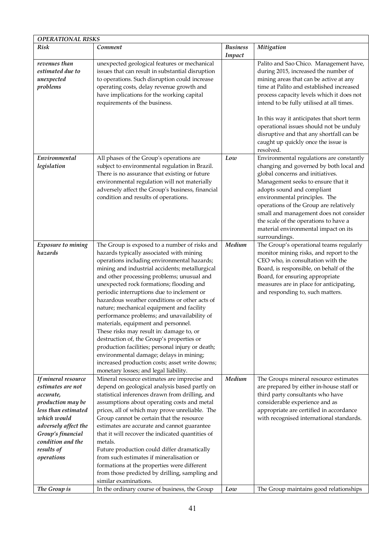| <b>OPERATIONAL RISKS</b>                                                                                                                                                                                       |                                                                                                                                                                                                                                                                                                                                                                                                                                                                                                                                                                                                                                                                                                                                                                                                           |                           |                                                                                                                                                                                                                                                                                                                                                                                                                    |  |
|----------------------------------------------------------------------------------------------------------------------------------------------------------------------------------------------------------------|-----------------------------------------------------------------------------------------------------------------------------------------------------------------------------------------------------------------------------------------------------------------------------------------------------------------------------------------------------------------------------------------------------------------------------------------------------------------------------------------------------------------------------------------------------------------------------------------------------------------------------------------------------------------------------------------------------------------------------------------------------------------------------------------------------------|---------------------------|--------------------------------------------------------------------------------------------------------------------------------------------------------------------------------------------------------------------------------------------------------------------------------------------------------------------------------------------------------------------------------------------------------------------|--|
| <b>Risk</b>                                                                                                                                                                                                    | Comment                                                                                                                                                                                                                                                                                                                                                                                                                                                                                                                                                                                                                                                                                                                                                                                                   | <b>Business</b><br>Impact | Mitigation                                                                                                                                                                                                                                                                                                                                                                                                         |  |
| revenues than<br>estimated due to<br>unexpected<br>problems                                                                                                                                                    | unexpected geological features or mechanical<br>issues that can result in substantial disruption<br>to operations. Such disruption could increase<br>operating costs, delay revenue growth and<br>have implications for the working capital<br>requirements of the business.                                                                                                                                                                                                                                                                                                                                                                                                                                                                                                                              |                           | Palito and Sao Chico. Management have,<br>during 2015, increased the number of<br>mining areas that can be active at any<br>time at Palito and established increased<br>process capacity levels which it does not<br>intend to be fully utilised at all times.<br>In this way it anticipates that short term                                                                                                       |  |
|                                                                                                                                                                                                                |                                                                                                                                                                                                                                                                                                                                                                                                                                                                                                                                                                                                                                                                                                                                                                                                           |                           | operational issues should not be unduly<br>disruptive and that any shortfall can be<br>caught up quickly once the issue is<br>resolved.                                                                                                                                                                                                                                                                            |  |
| Environmental<br>legislation                                                                                                                                                                                   | All phases of the Group's operations are<br>subject to environmental regulation in Brazil.<br>There is no assurance that existing or future<br>environmental regulation will not materially<br>adversely affect the Group's business, financial<br>condition and results of operations.                                                                                                                                                                                                                                                                                                                                                                                                                                                                                                                   | Low                       | Environmental regulations are constantly<br>changing and governed by both local and<br>global concerns and initiatives.<br>Management seeks to ensure that it<br>adopts sound and compliant<br>environmental principles. The<br>operations of the Group are relatively<br>small and management does not consider<br>the scale of the operations to have a<br>material environmental impact on its<br>surroundings. |  |
| Exposure to mining<br>hazards                                                                                                                                                                                  | The Group is exposed to a number of risks and<br>hazards typically associated with mining<br>operations including environmental hazards;<br>mining and industrial accidents; metallurgical<br>and other processing problems; unusual and<br>unexpected rock formations; flooding and<br>periodic interruptions due to inclement or<br>hazardous weather conditions or other acts of<br>nature; mechanical equipment and facility<br>performance problems; and unavailability of<br>materials, equipment and personnel.<br>These risks may result in: damage to, or<br>destruction of, the Group's properties or<br>production facilities; personal injury or death;<br>environmental damage; delays in mining;<br>increased production costs; asset write downs;<br>monetary losses; and legal liability. | Medium                    | The Group's operational teams regularly<br>monitor mining risks, and report to the<br>CEO who, in consultation with the<br>Board, is responsible, on behalf of the<br>Board, for ensuring appropriate<br>measures are in place for anticipating,<br>and responding to, such matters.                                                                                                                               |  |
| If mineral resource<br>estimates are not<br>accurate,<br>production may be<br>less than estimated<br>which would<br>adversely affect the<br>Group's financial<br>condition and the<br>results of<br>operations | Mineral resource estimates are imprecise and<br>depend on geological analysis based partly on<br>statistical inferences drawn from drilling, and<br>assumptions about operating costs and metal<br>prices, all of which may prove unreliable. The<br>Group cannot be certain that the resource<br>estimates are accurate and cannot guarantee<br>that it will recover the indicated quantities of<br>metals.<br>Future production could differ dramatically<br>from such estimates if mineralisation or<br>formations at the properties were different<br>from those predicted by drilling, sampling and<br>similar examinations.                                                                                                                                                                         | Medium                    | The Groups mineral resource estimates<br>are prepared by either in-house staff or<br>third party consultants who have<br>considerable experience and as<br>appropriate are certified in accordance<br>with recognised international standards.                                                                                                                                                                     |  |
| The Group is                                                                                                                                                                                                   | In the ordinary course of business, the Group                                                                                                                                                                                                                                                                                                                                                                                                                                                                                                                                                                                                                                                                                                                                                             | Low                       | The Group maintains good relationships                                                                                                                                                                                                                                                                                                                                                                             |  |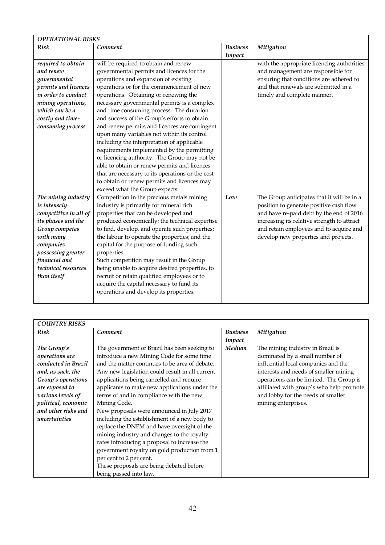| <b>OPERATIONAL RISKS</b> |                                                  |                 |                                             |  |
|--------------------------|--------------------------------------------------|-----------------|---------------------------------------------|--|
| <b>Risk</b>              | Comment                                          | <b>Business</b> | Mitigation                                  |  |
|                          |                                                  | Impact          |                                             |  |
| required to obtain       | will be required to obtain and renew             |                 | with the appropriate licencing authorities  |  |
| and renew                | governmental permits and licences for the        |                 | and management are responsible for          |  |
| governmental             | operations and expansion of existing             |                 | ensuring that conditions are adhered to     |  |
| permits and licences     | operations or for the commencement of new        |                 | and that renewals are submitted in a        |  |
| in order to conduct      | operations. Obtaining or renewing the            |                 | timely and complete manner.                 |  |
| mining operations,       | necessary governmental permits is a complex      |                 |                                             |  |
| which can be a           | and time consuming process. The duration         |                 |                                             |  |
| costly and time-         | and success of the Group's efforts to obtain     |                 |                                             |  |
| consuming process        | and renew permits and licences are contingent    |                 |                                             |  |
|                          | upon many variables not within its control       |                 |                                             |  |
|                          | including the interpretation of applicable       |                 |                                             |  |
|                          | requirements implemented by the permitting       |                 |                                             |  |
|                          | or licencing authority. The Group may not be     |                 |                                             |  |
|                          | able to obtain or renew permits and licences     |                 |                                             |  |
|                          | that are necessary to its operations or the cost |                 |                                             |  |
|                          | to obtain or renew permits and licences may      |                 |                                             |  |
|                          | exceed what the Group expects.                   |                 |                                             |  |
| The mining industry      | Competition in the precious metals mining        | Low             | The Group anticipates that it will be in a  |  |
| is intensely             | industry is primarily for mineral rich           |                 | position to generate positive cash flow     |  |
| competitive in all of    | properties that can be developed and             |                 | and have re-paid debt by the end of 2016    |  |
| its phases and the       | produced economically; the technical expertise   |                 | increasing its relative strength to attract |  |
| Group competes           | to find, develop, and operate such properties;   |                 | and retain employees and to acquire and     |  |
| with many                | the labour to operate the properties; and the    |                 | develop new properties and projects.        |  |
| companies                | capital for the purpose of funding such          |                 |                                             |  |
| possessing greater       | properties.                                      |                 |                                             |  |
| financial and            | Such competition may result in the Group         |                 |                                             |  |
| technical resources      | being unable to acquire desired properties, to   |                 |                                             |  |
| than itself              | recruit or retain qualified employees or to      |                 |                                             |  |
|                          | acquire the capital necessary to fund its        |                 |                                             |  |
|                          | operations and develop its properties.           |                 |                                             |  |
|                          |                                                  |                 |                                             |  |

| <b>COUNTRY RISKS</b> |                                                 |                 |                                          |  |
|----------------------|-------------------------------------------------|-----------------|------------------------------------------|--|
| <b>Risk</b>          | Comment                                         | <b>Business</b> | <b>Mitigation</b>                        |  |
|                      |                                                 | Impact          |                                          |  |
| The Group's          | The government of Brazil has been seeking to    | Medium          | The mining industry in Brazil is         |  |
| operations are       | introduce a new Mining Code for some time       |                 | dominated by a small number of           |  |
| conducted in Brazil  | and the matter continues to be area of debate.  |                 | influential local companies and the      |  |
| and, as such, the    | Any new legislation could result in all current |                 | interests and needs of smaller mining    |  |
| Group's operations   | applications being cancelled and require        |                 | operations can be limited. The Group is  |  |
| are exposed to       | applicants to make new applications under the   |                 | affiliated with group's who help promote |  |
| various levels of    | terms of and in compliance with the new         |                 | and lobby for the needs of smaller       |  |
| political, economic  | Mining Code.                                    |                 | mining enterprises.                      |  |
| and other risks and  | New proposals were announced in July 2017       |                 |                                          |  |
| uncertainties        | including the establishment of a new body to    |                 |                                          |  |
|                      | replace the DNPM and have oversight of the      |                 |                                          |  |
|                      | mining industry and changes to the royalty      |                 |                                          |  |
|                      | rates introducing a proposal to increase the    |                 |                                          |  |
|                      | government royalty on gold production from 1    |                 |                                          |  |
|                      | per cent to 2 per cent.                         |                 |                                          |  |
|                      | These proposals are being debated before        |                 |                                          |  |
|                      | being passed into law.                          |                 |                                          |  |